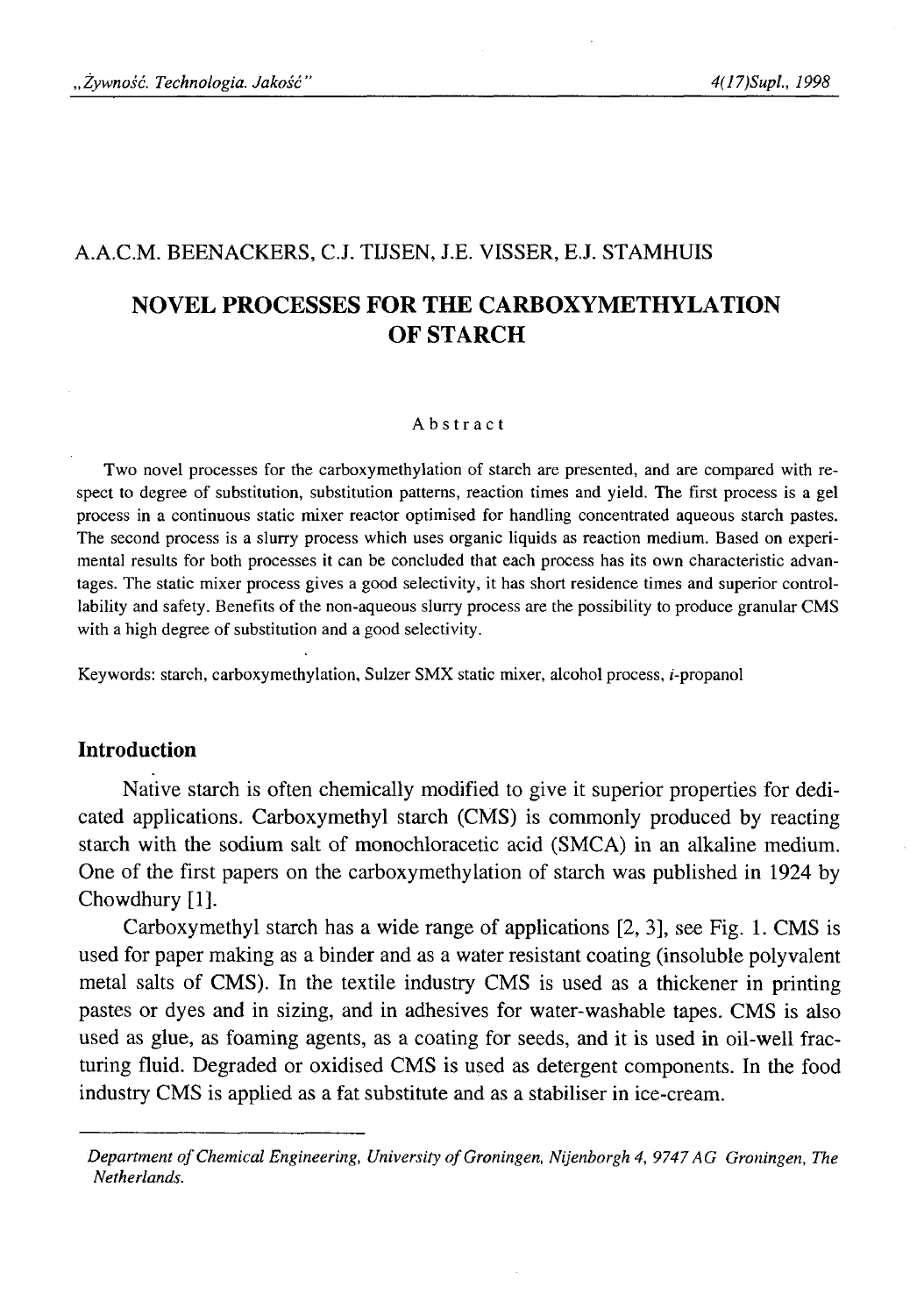## A.A.C.M. BEENACKERS, C.J. TIJSEN, J.E. VISSER, E.J. STAMHUIS

# **NOVEL PROCESSES FOR THE CARBOXYMETHYLATION OF STARCH**

### Abstract

Two novel processes for the carboxymethylation of starch are presented, and are compared with respect to degree of substitution, substitution patterns, reaction times and yield. The first process is a gel process in a continuous static mixer reactor optimised for handling concentrated aqueous starch pastes. The second process is a slurry process which uses organic liquids as reaction medium. Based on experimental results for both processes it can be concluded that each process has its own characteristic advantages. The static mixer process gives a good selectivity, it has short residence times and superior controllability and safety. Benefits of the non-aqueous slurry process are the possibility to produce granular CMS with a high degree of substitution and a good selectivity.

Keywords: starch, carboxymethylation, Sulzer SMX static mixer, alcohol process, г-propanol

## **Introduction**

Native starch is often chemically modified to give it superior properties for dedicated applications. Carboxymethyl starch (CMS) is commonly produced by reacting starch with the sodium salt of monochloracetic acid (SMCA) in an alkaline medium. One of the first papers on the carboxymethylation of starch was published in 1924 by Chowdhury [1].

Carboxymethyl starch has a wide range of applications [2, 3], see Fig. 1. CMS is used for paper making as a binder and as a water resistant coating (insoluble polyvalent metal salts of CMS). In the textile industry CMS is used as a thickener in printing pastes or dyes and in sizing, and in adhesives for water-washable tapes. CMS is also used as glue, as foaming agents, as a coating for seeds, and it is used in oil-well fracturing fluid. Degraded or oxidised CMS is used as detergent components. In the food industry CMS is applied as a fat substitute and as a stabiliser in ice-cream.

*Department of Chemical Engineering, University of Groningen, Nijenborgh 4, 9747 AG Groningen, The Netherlands.*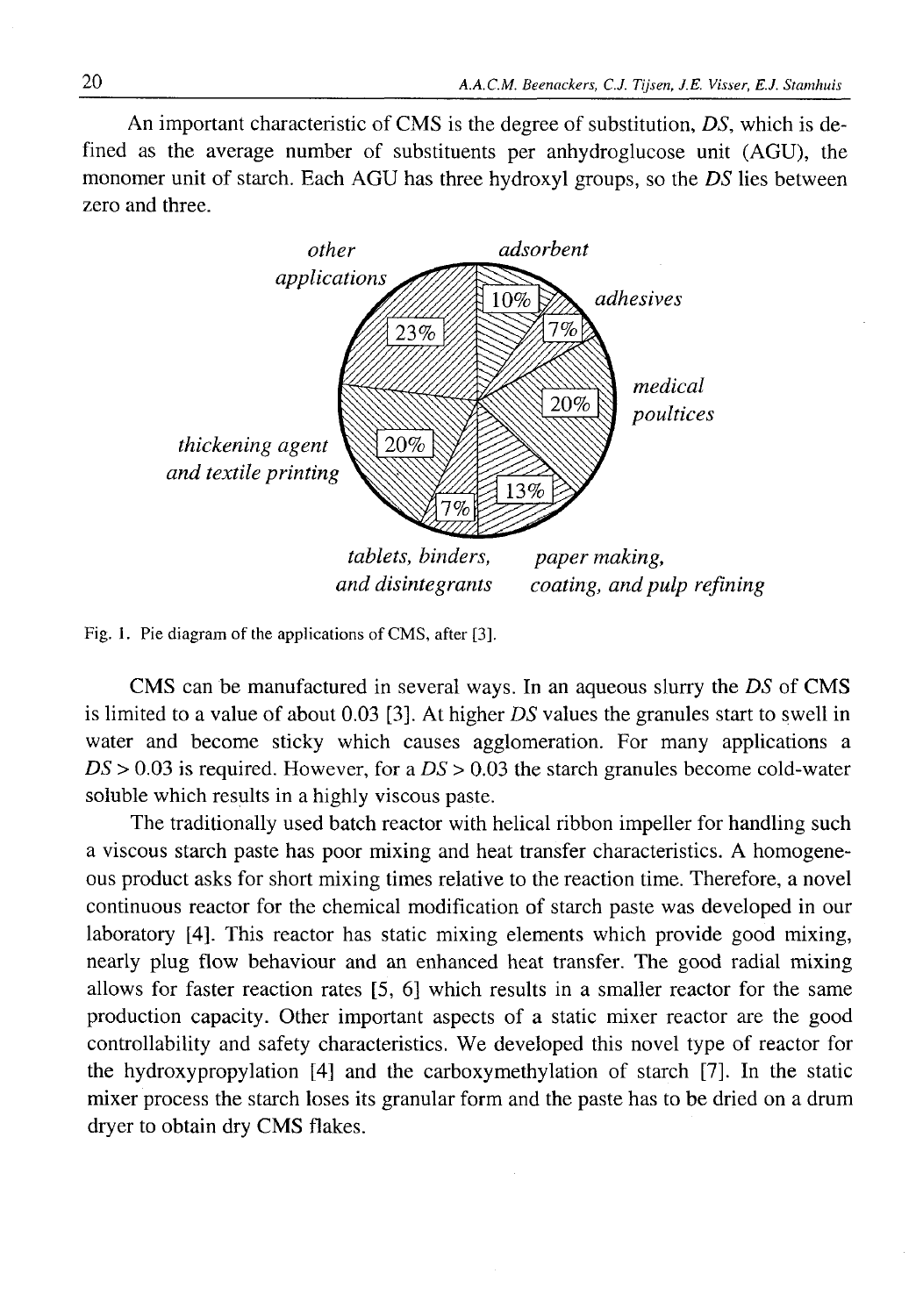An important characteristic of CMS is the degree of substitution, *DS,* which is defined as the average number of substituents per anhydroglucose unit (AGU), the monomer unit of starch. Each AGU has three hydroxyl groups, so the *DS* lies between zero and three.



Fig. 1. Pie diagram of the applications of CMS, after [3].

CMS can be manufactured in several ways. In an aqueous slurry the *DS* of CMS is limited to a value of about 0.03 [3]. At higher *DS* values the granules start to swell in water and become sticky which causes agglomeration. For many applications a *DS >* 0.03 is required. However, for a *DS >* 0.03 the starch granules become cold-water soluble which results in a highly viscous paste.

The traditionally used batch reactor with helical ribbon impeller for handling such a viscous starch paste has poor mixing and heat transfer characteristics. A homogeneous product asks for short mixing times relative to the reaction time. Therefore, a novel continuous reactor for the chemical modification of starch paste was developed in our laboratory [4]. This reactor has static mixing elements which provide good mixing, nearly plug flow behaviour and an enhanced heat transfer. The good radial mixing allows for faster reaction rates  $[5, 6]$  which results in a smaller reactor for the same production capacity. Other important aspects of a static mixer reactor are the good controllability and safety characteristics. We developed this novel type of reactor for the hydroxypropylation [4] and the carboxymethylation of starch [7]. In the static mixer process the starch loses its granular form and the paste has to be dried on a drum dryer to obtain dry CMS flakes.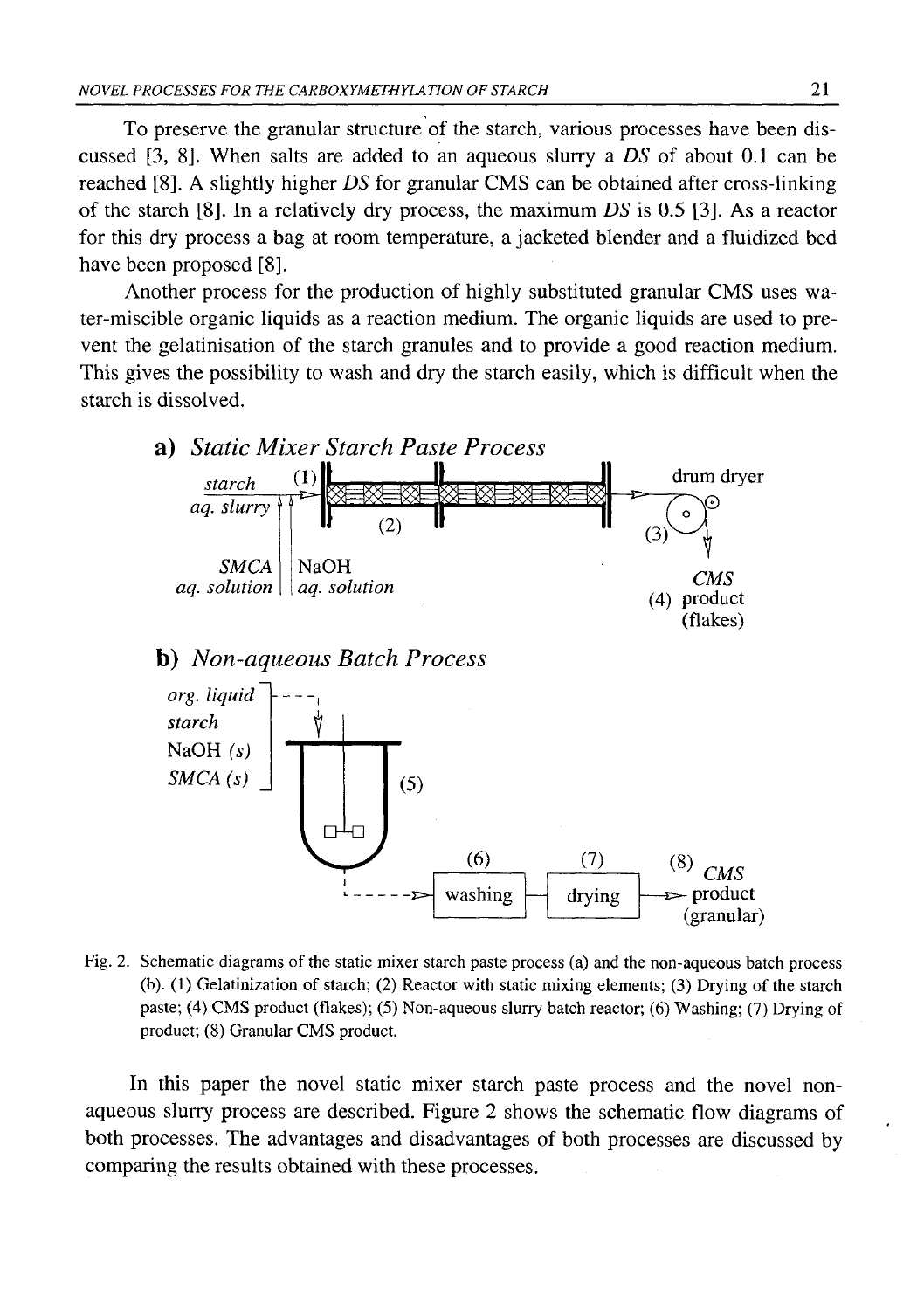To preserve the granular structure of the starch, various processes have been discussed  $[3, 8]$ . When salts are added to an aqueous slurry a  $DS$  of about 0.1 can be reached [8 ]. A slightly higher *DS* for granular CMS can be obtained after cross-linking of the starch [8 ]. In a relatively dry process, the maximum *DS* is 0.5 [3]. As a reactor for this dry process a bag at room temperature, a jacketed blender and a fluidized bed have been proposed [8].

Another process for the production of highly substituted granular CMS uses water-miscible organic liquids as a reaction medium. The organic liquids are used to prevent the gelatinisation of the starch granules and to provide a good reaction medium. This gives the possibility to wash and dry the starch easily, which is difficult when the starch is dissolved.



Fig. 2. Schematic diagrams of the static mixer starch paste process (a) and the non-aqueous batch process (b). (1) Gelatinization of starch; (2) Reactor with static mixing elements; (3) Drying of the starch paste; (4) CMS product (flakes); (5) Non-aqueous slurry batch reactor; (6) Washing; (7) Drying of product; (8) Granular CMS product.

In this paper the novel static mixer starch paste process and the novel nonaqueous slurry process are described. Figure 2 shows the schematic flow diagrams of both processes. The advantages and disadvantages of both processes are discussed by comparing the results obtained with these processes.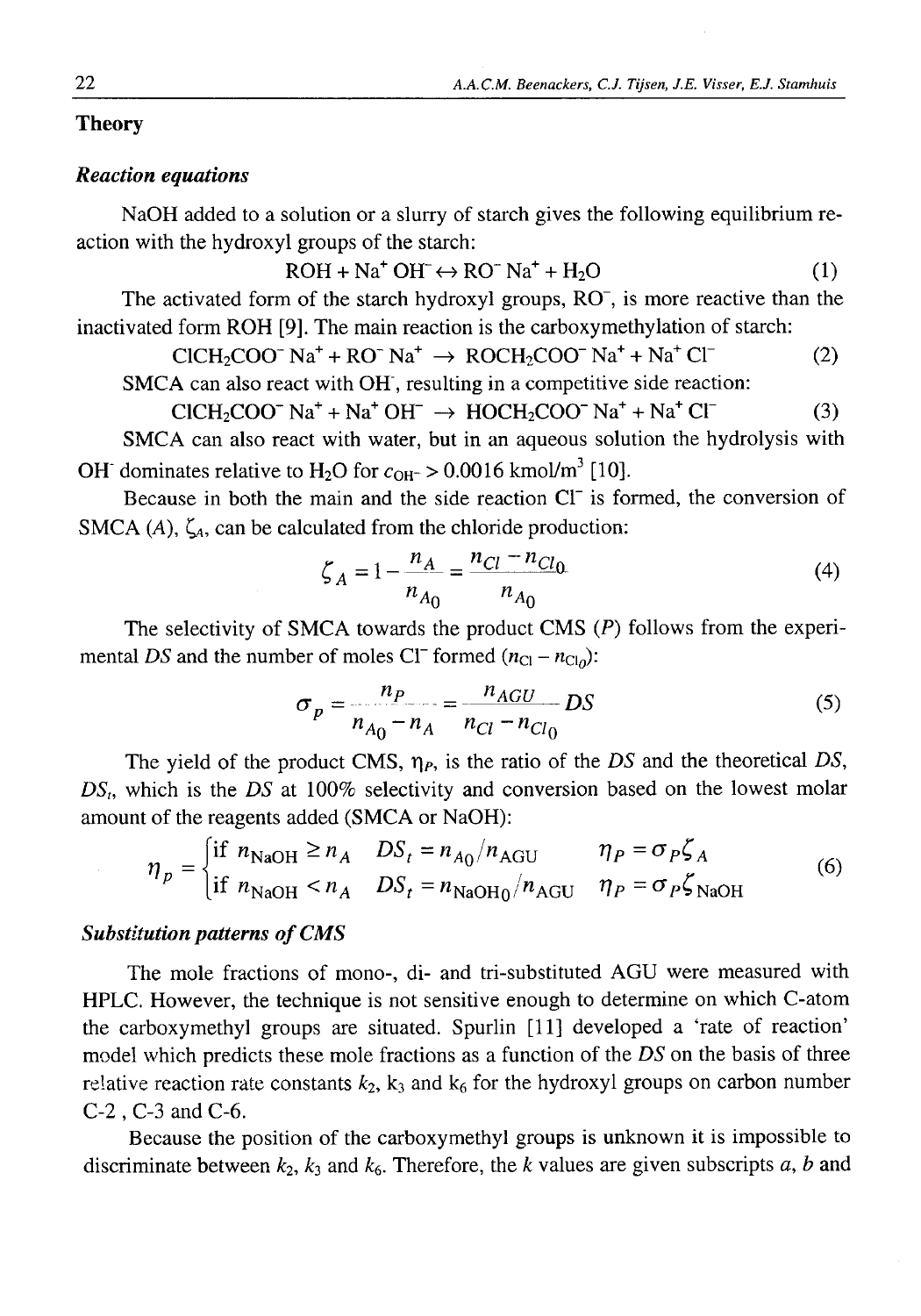### **Theory**

## *Reaction equations*

NaOH added to a solution or a slurry of starch gives the following equilibrium reaction with the hydroxyl groups of the starch:

$$
ROH + Na^{+}OH^{-} \leftrightarrow RO^{-}Na^{+} + H_{2}O
$$
 (1)

The activated form of the starch hydroxyl groups,  $RO<sub>1</sub>$ , is more reactive than the inactivated form ROH [9]. The main reaction is the carboxymethylation of starch:

$$
CICH_2COO^- Na^+ + RO^- Na^+ \rightarrow ROCH_2COO^- Na^+ + Na^+ Cl^-
$$
 (2)

SMCA can also react with OH', resulting in a competitive side reaction:  $CICH_2COO^-$  Na<sup>+</sup> + Na<sup>+</sup> OH<sup>-</sup>  $\rightarrow$  HOCH<sub>2</sub>COO<sup>-</sup> Na<sup>+</sup> + Na<sup>+</sup> Cl<sup>-</sup> (3)

SMCA can also react with water, but in an aqueous solution the hydrolysis with OH' dominates relative to H<sub>2</sub>O for  $c_{OH^-} > 0.0016$  kmol/m<sup>3</sup> [10].

Because in both the main and the side reaction СГ is formed, the conversion of SMCA  $(A)$ ,  $\zeta_A$ , can be calculated from the chloride production:

$$
\zeta_A = 1 - \frac{n_A}{n_{A_0}} = \frac{n_{Cl} - n_{Cl_0}}{n_{A_0}}
$$
(4)

The selectivity of SMCA towards the product CMS *(P)* follows from the experimental *DS* and the number of moles CI<sup>-</sup> formed  $(n_{Cl} - n_{Cl_0})$ :

$$
\sigma_p = \frac{n_P}{n_{A_0} - n_A} = \frac{n_{AGU}}{n_{Cl} - n_{Cl_0}} DS
$$
\n(5)

The yield of the product CMS, *r\p,* is the ratio of the *DS* and the theoretical *DS, DSt,* which is the *DS* at 100% selectivity and conversion based on the lowest molar amount of the reagents added (SMCA or NaOH):

$$
\eta_p = \begin{cases} \text{if } n_{\text{NaOH}} \ge n_A & DS_t = n_{A_0}/n_{\text{AGU}} & \eta_P = \sigma_P \zeta_A \\ \text{if } n_{\text{NaOH}} < n_A & DS_t = n_{\text{NaOH}_0}/n_{\text{AGU}} & \eta_P = \sigma_P \zeta_{\text{NaOH}} \end{cases} \tag{6}
$$

## *Substitution patterns of CMS*

The mole fractions of mono-, di- and tri-substituted AGU were measured with HPLC. However, the technique is not sensitive enough to determine on which C-atom the carboxymethyl groups are situated. Spurlin [11] developed a 'rate of reaction' model which predicts these mole fractions as a function of the *DS* on the basis of three relative reaction rate constants  $k_2$ ,  $k_3$  and  $k_6$  for the hydroxyl groups on carbon number C-2 , C-3 and C-6 .

Because the position of the carboxymethyl groups is unknown it is impossible to discriminate between  $k_2$ ,  $k_3$  and  $k_6$ . Therefore, the  $k$  values are given subscripts  $a$ ,  $b$  and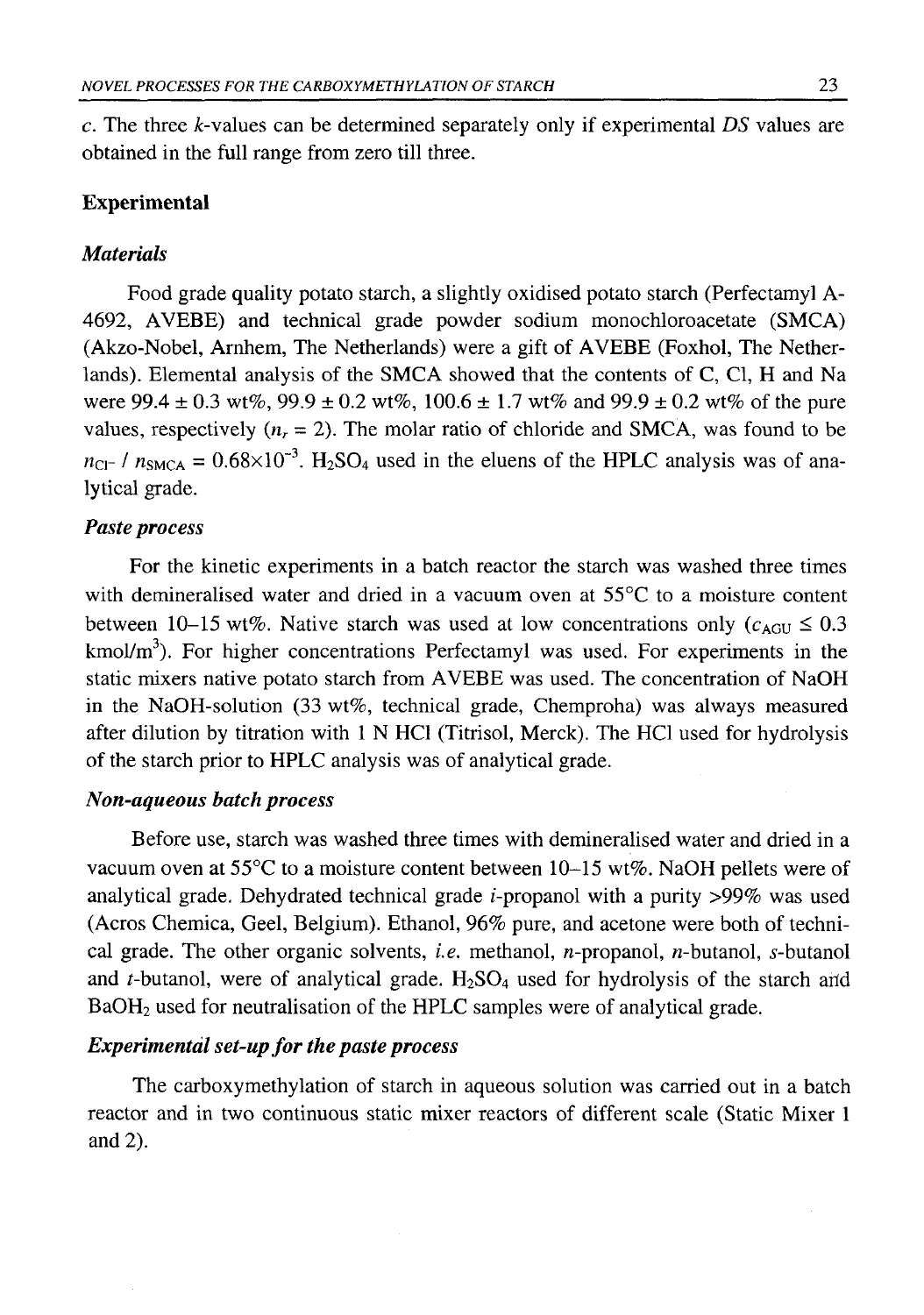c. The three *k*-values can be determined separately only if experimental *DS* values are obtained in the full range from zero till three.

## **Experimental**

## *Materials*

Food grade quality potato starch, a slightly oxidised potato starch (Perfectamyl A-4692, AVEBE) and technical grade powder sodium monochloroacetate (SMCA) (Akzo-Nobel, Arnhem, The Netherlands) were a gift of AVEBE (Foxhol, The Netherlands). Elemental analysis of the SMCA showed that the contents of C, Cl, H and Na were  $99.4 \pm 0.3$  wt%,  $99.9 \pm 0.2$  wt%,  $100.6 \pm 1.7$  wt% and  $99.9 \pm 0.2$  wt% of the pure values, respectively  $(n_r = 2)$ . The molar ratio of chloride and SMCA, was found to be  $n_{\text{Cl}}$ - /  $n_{\text{SMCA}} = 0.68 \times 10^{-3}$ . H<sub>2</sub>SO<sub>4</sub> used in the eluens of the HPLC analysis was of analytical grade.

## *Paste process*

For the kinetic experiments in a batch reactor the starch was washed three times with demineralised water and dried in a vacuum oven at 55°C to a moisture content between 10-15 wt%. Native starch was used at low concentrations only  $(c<sub>AGU</sub> \le 0.3$  $kmol/m<sup>3</sup>$ . For higher concentrations Perfectamyl was used. For experiments in the static mixers native potato starch from AVEBE was used. The concentration of NaOH in the NaOH-solution (33 wt%, technical grade, Chemproha) was always measured after dilution by titration with 1 N HC1 (Titrisol, Merck). The HC1 used for hydrolysis of the starch prior to HPLC analysis was of analytical grade.

## *Non-aqueous batch process*

Before use, starch was washed three times with demineralised water and dried in a vacuum oven at 55°C to a moisture content between 10-15 wt%. NaOH pellets were of analytical grade. Dehydrated technical grade  $i$ -propanol with a purity  $>99\%$  was used (Acros Chemica, Geel, Belgium). Ethanol, 96% pure, and acetone were both of technical grade. The other organic solvents, *i.e.* methanol, *n*-propanol, *n*-butanol, *s*-butanol and  $t$ -butanol, were of analytical grade.  $H_2SO_4$  used for hydrolysis of the starch and BaOH2 used for neutralisation of the HPLC samples were of analytical grade.

## *Experimental set-up for the paste process*

The carboxymethylation of starch in aqueous solution was carried out in a batch reactor and in two continuous static mixer reactors of different scale (Static Mixer 1 and  $2$ ).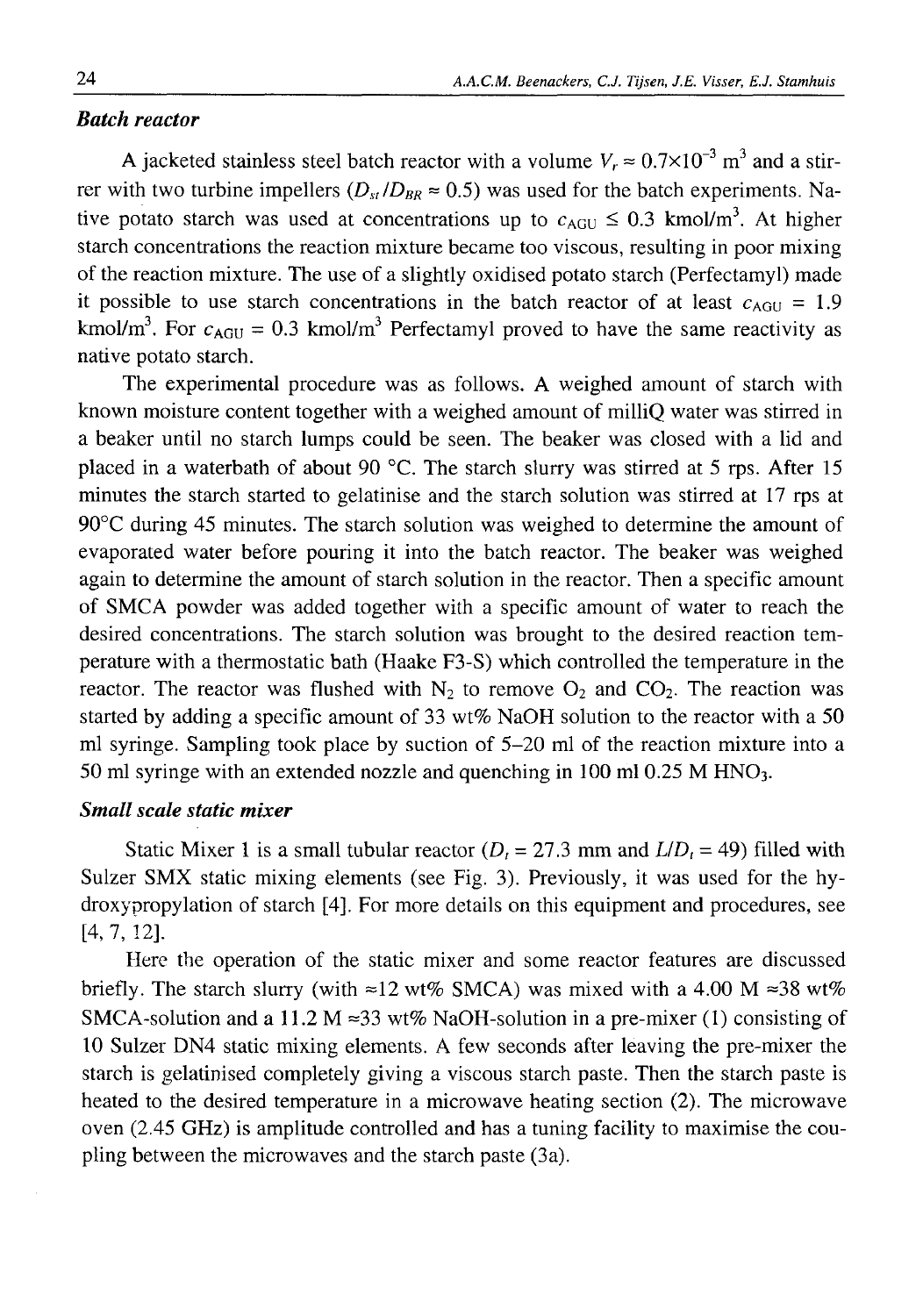## *Batch reactor*

A jacketed stainless steel batch reactor with a volume  $V_r \approx 0.7 \times 10^{-3}$  m<sup>3</sup> and a stirrer with two turbine impellers ( $D_{st}/D_{BR} \approx 0.5$ ) was used for the batch experiments. Native potato starch was used at concentrations up to  $c_{AGU} \le 0.3$  kmol/m<sup>3</sup>. At higher starch concentrations the reaction mixture became too viscous, resulting in poor mixing of the reaction mixture. The use of a slightly oxidised potato starch (Perfectamyl) made it possible to use starch concentrations in the batch reactor of at least  $c_{\text{AGU}} = 1.9$ kmol/m<sup>3</sup>. For  $c_{\text{AGU}} = 0.3$  kmol/m<sup>3</sup> Perfectamyl proved to have the same reactivity as native potato starch.

The experimental procedure was as follows. A weighed amount of starch with known moisture content together with a weighed amount of milliQ water was stirred in a beaker until no starch lumps could be seen. The beaker was closed with a lid and placed in a waterbath of about 90 °C. The starch slurry was stirred at 5 rps. After 15 minutes the starch started to gelatinise and the starch solution was stirred at 17 rps at 90°C during 45 minutes. The starch solution was weighed to determine the amount of evaporated water before pouring it into the batch reactor. The beaker was weighed again to determine the amount of starch solution in the reactor. Then a specific amount of SMCA powder was added together with a specific amount of water to reach the desired concentrations. The starch solution was brought to the desired reaction temperature with a thermostatic bath (Haake F3-S) which controlled the temperature in the reactor. The reactor was flushed with  $N<sub>2</sub>$  to remove  $O<sub>2</sub>$  and  $CO<sub>2</sub>$ . The reaction was started by adding a specific amount of 33 wt% NaOH solution to the reactor with a 50 ml syringe. Sampling took place by suction of 5-20 ml of the reaction mixture into a 50 ml syringe with an extended nozzle and quenching in 100 ml 0.25 M HNO<sub>3</sub>.

## *Small scale static mixer*

Static Mixer 1 is a small tubular reactor  $(D<sub>r</sub> = 27.3$  mm and  $L/D<sub>t</sub> = 49$ ) filled with Sulzer SMX static mixing elements (see Fig. 3). Previously, it was used for the hydroxypropylation of starch [4]. For more details on this equipment and procedures, see  $[4, 7, 12]$ .

Here the operation of the static mixer and some reactor features are discussed briefly. The starch slurry (with  $\approx 12$  wt% SMCA) was mixed with a 4.00 M  $\approx 38$  wt% SMCA-solution and a 11.2 M  $\approx$ 33 wt% NaOH-solution in a pre-mixer (1) consisting of 10 Sulzer DN4 static mixing elements. A few seconds after leaving the pre-mixer the starch is gelatinised completely giving a viscous starch paste. Then the starch paste is heated to the desired temperature in a microwave heating section (2). The microwave oven (2.45 GHz) is amplitude controlled and has a tuning facility to maximise the coupling between the microwaves and the starch paste (3a).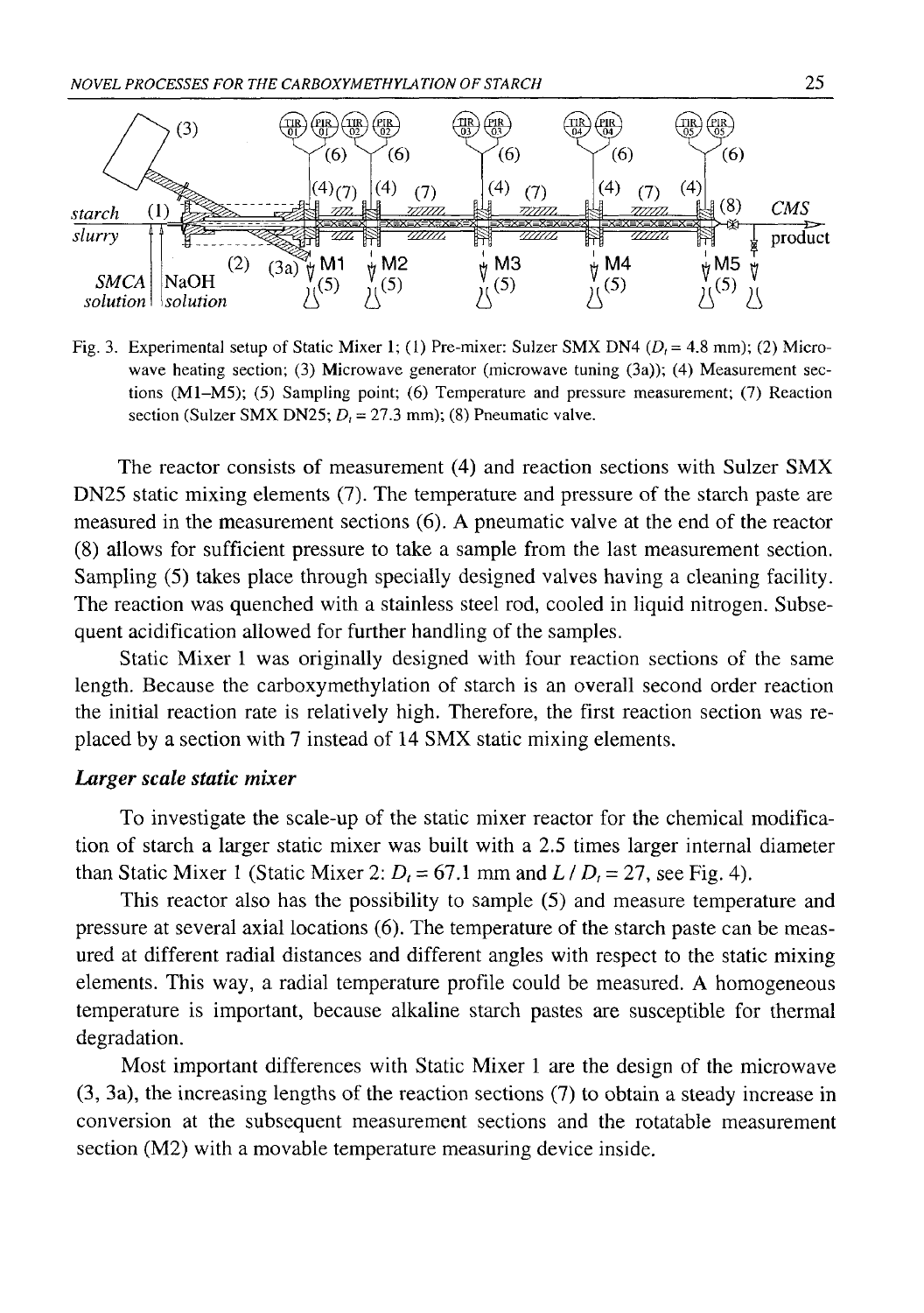

Fig. 3. Experimental setup of Static Mixer 1; (1) Pre-mixer: Sulzer SMX DN4 *(D, =* 4.8 mm); (2) Microwave heating section; (3) Microwave generator (microwave tuning (3a)); (4) Measurement sections (M1-M5); (5) Sampling point; (6) Temperature and pressure measurement; (7) Reaction section (Sulzer SMX DN25;  $D<sub>i</sub> = 27.3$  mm); (8) Pneumatic valve.

The reactor consists of measurement (4) and reaction sections with Sulzer SMX DN25 static mixing elements (7). The temperature and pressure of the starch paste are measured in the measurement sections (6). A pneumatic valve at the end of the reactor (8 ) allows for sufficient pressure to take a sample from the last measurement section. Sampling (5) takes place through specially designed valves having a cleaning facility. The reaction was quenched with a stainless steel rod, cooled in liquid nitrogen. Subsequent acidification allowed for further handling of the samples.

Static Mixer 1 was originally designed with four reaction sections of the same length. Because the carboxymethylation of starch is an overall second order reaction the initial reaction rate is relatively high. Therefore, the first reaction section was replaced by a section with 7 instead of 14 SMX static mixing elements.

## *Larger scale static mixer*

To investigate the scale-up of the static mixer reactor for the chemical modification of starch a larger static mixer was built with a 2.5 times larger internal diameter than Static Mixer 1 (Static Mixer 2:  $D_t = 67.1$  mm and  $L / D_t = 27$ , see Fig. 4).

This reactor also has the possibility to sample (5) and measure temperature and pressure at several axial locations (6 ). The temperature of the starch paste can be measured at different radial distances and different angles with respect to the static mixing elements. This way, a radial temperature profile could be measured. A homogeneous temperature is important, because alkaline starch pastes are susceptible for thermal degradation.

Most important differences with Static Mixer 1 are the design of the microwave (3, 3a), the increasing lengths of the reaction sections (7) to obtain a steady increase in conversion at the subsequent measurement sections and the rotatable measurement section (M2) with a movable temperature measuring device inside.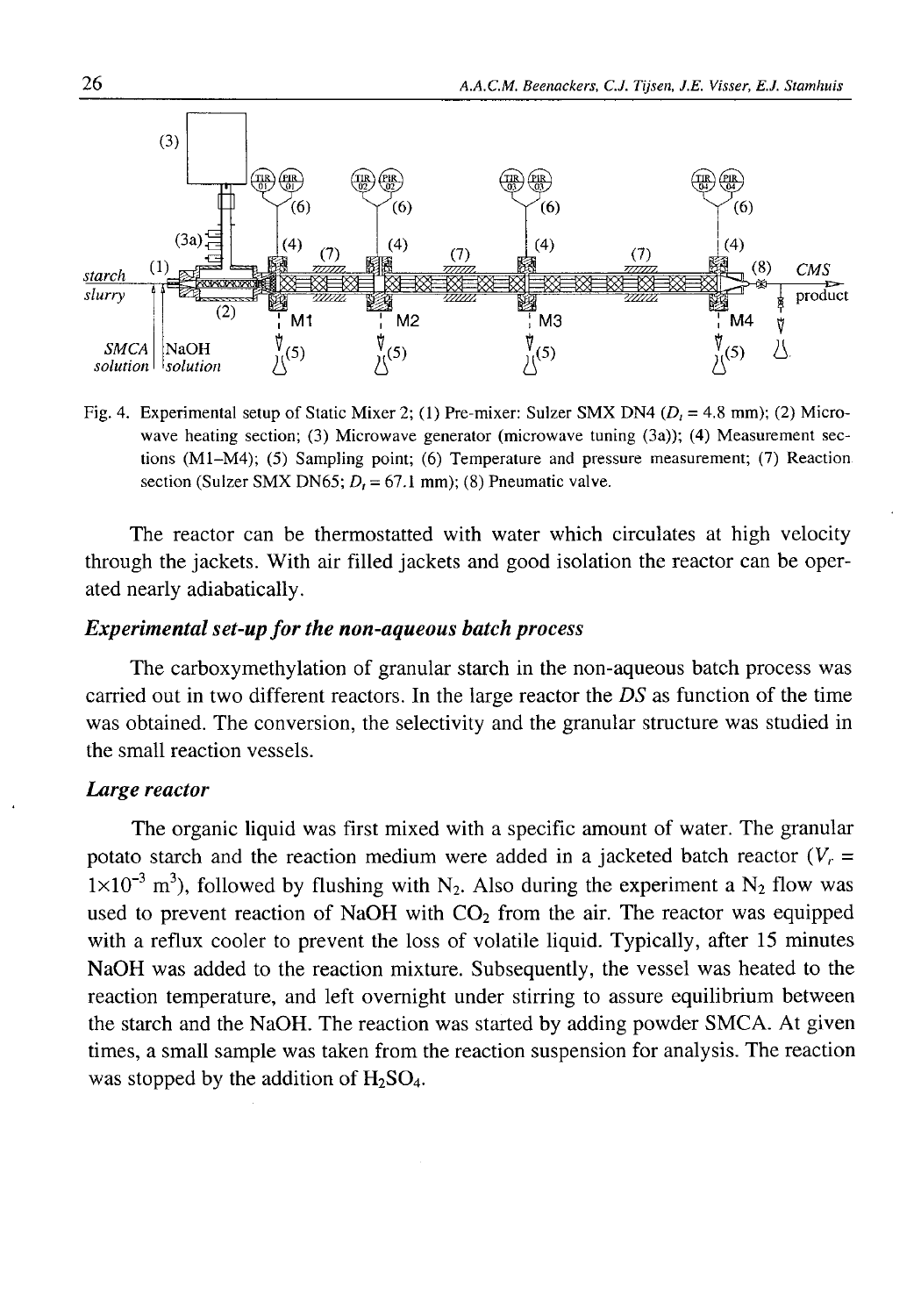

Fig. 4. Experimental setup of Static Mixer 2; (1) Pre-mixer: Sulzer SMX DN4 (*D,* = 4.8 mm); (2) Microwave heating section; (3) Microwave generator (microwave tuning (3a)); (4) Measurement sections (M1-M4); (5) Sampling point; (6) Temperature and pressure measurement; (7) Reaction section (Sulzer SMX DN65;  $D_t = 67.1$  mm); (8) Pneumatic valve.

The reactor can be thermostatted with water which circulates at high velocity through the jackets. With air filled jackets and good isolation the reactor can be operated nearly adiabatically.

## *Experimental set-up for the non-aqueous batch process*

The carboxymethylation of granular starch in the non-aqueous batch process was carried out in two different reactors. In the large reactor the *DS* as function of the time was obtained. The conversion, the selectivity and the granular structure was studied in the small reaction vessels.

## *Large reactor*

The organic liquid was first mixed with a specific amount of water. The granular potato starch and the reaction medium were added in a jacketed batch reactor  $(V_r =$  $1\times10^{-3}$  m<sup>3</sup>), followed by flushing with N<sub>2</sub>. Also during the experiment a N<sub>2</sub> flow was used to prevent reaction of NaOH with  $CO<sub>2</sub>$  from the air. The reactor was equipped with a reflux cooler to prevent the loss of volatile liquid. Typically, after 15 minutes NaOH was added to the reaction mixture. Subsequently, the vessel was heated to the reaction temperature, and left overnight under stirring to assure equilibrium between the starch and the NaOH. The reaction was started by adding powder SMCA. At given times, a small sample was taken from the reaction suspension for analysis. The reaction was stopped by the addition of  $H_2SO_4$ .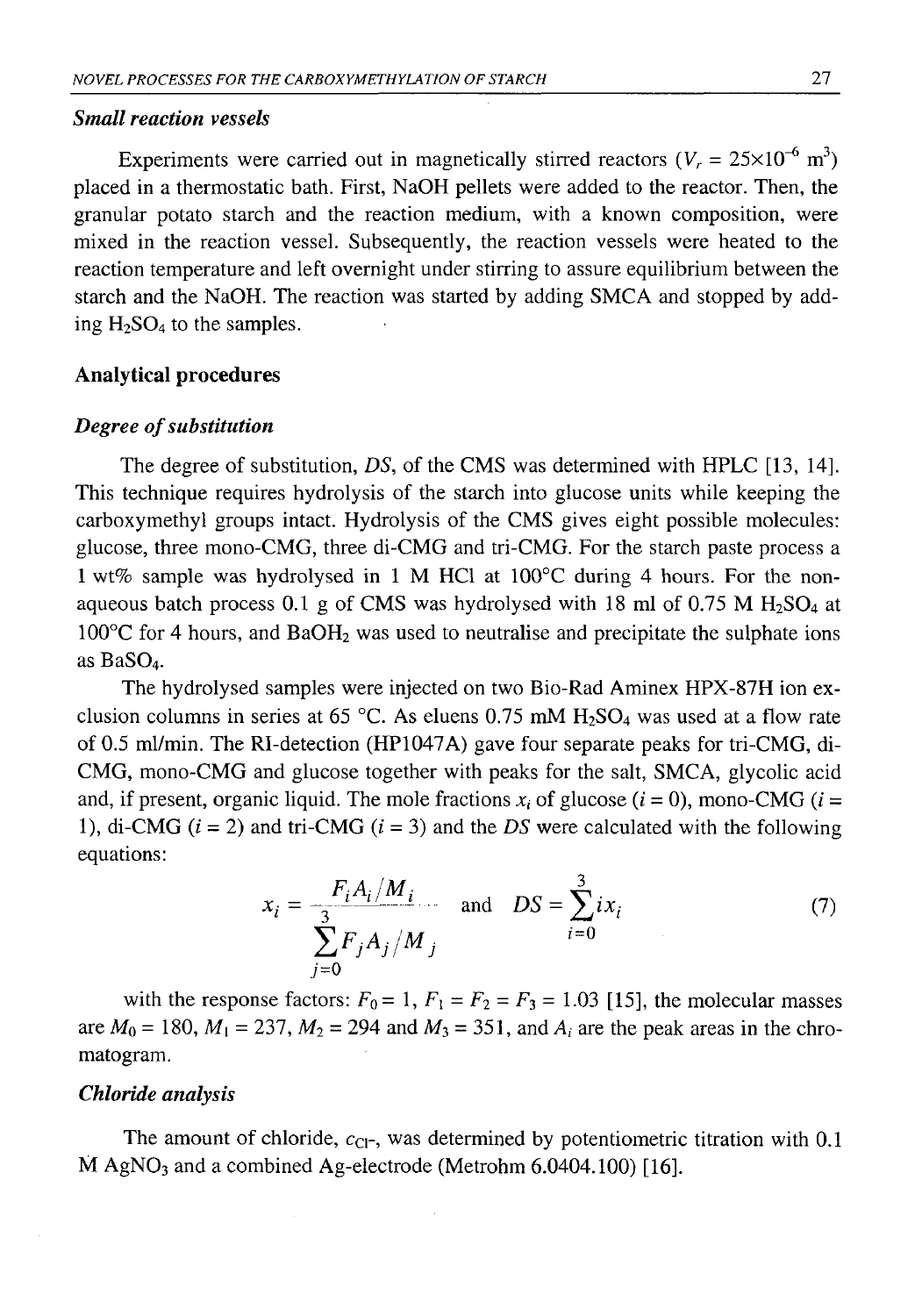### *Small reaction vessels*

Experiments were carried out in magnetically stirred reactors ( $V_r = 25 \times 10^{-6}$  m<sup>3</sup>) placed in a thermostatic bath. First, NaOH pellets were added to the reactor. Then, the granular potato starch and the reaction medium, with a known composition, were mixed in the reaction vessel. Subsequently, the reaction vessels were heated to the reaction temperature and left overnight under stirring to assure equilibrium between the starch and the NaOH. The reaction was started by adding SMCA and stopped by adding  $H_2SO_4$  to the samples.

#### **Analytical procedures**

#### *Degree of substitution*

The degree of substitution, *DS,* of the CMS was determined with HPLC [13, 14]. This technique requires hydrolysis of the starch into glucose units while keeping the carboxymethyl groups intact. Hydrolysis of the CMS gives eight possible molecules: glucose, three mono-CMG, three di-CMG and tri-CMG. For the starch paste process a 1 wt% sample was hydrolysed in 1 M HC1 at 100°C during 4 hours. For the nonaqueous batch process 0.1 g of CMS was hydrolysed with 18 ml of 0.75 M  $H<sub>2</sub>SO<sub>4</sub>$  at  $100^{\circ}$ C for 4 hours, and BaOH<sub>2</sub> was used to neutralise and precipitate the sulphate ions as BaSO<sub>4</sub>.

The hydrolysed samples were injected on two Bio-Rad Aminex HPX-87H ion exclusion columns in series at 65 °C. As eluens  $0.75$  mM H<sub>2</sub>SO<sub>4</sub> was used at a flow rate of 0.5 ml/min. The RI-detection (HP1047A) gave four separate peaks for tri-CMG, di-CMG, mono-CMG and glucose together with peaks for the salt, SMCA, glycolic acid and, if present, organic liquid. The mole fractions  $x_i$  of glucose  $(i = 0)$ , mono-CMG  $(i =$ 1), di-CMG  $(i = 2)$  and tri-CMG  $(i = 3)$  and the *DS* were calculated with the following equations:

$$
x_{i} = \frac{F_{i}A_{i}/M_{i}}{\sum_{j=0}^{3} F_{j}A_{j}/M_{j}} \quad \text{and} \quad DS = \sum_{i=0}^{3} ix_{i}
$$
 (7)

with the response factors:  $F_0 = 1$ ,  $F_1 = F_2 = F_3 = 1.03$  [15], the molecular masses are  $M_0 = 180$ ,  $M_1 = 237$ ,  $M_2 = 294$  and  $M_3 = 351$ , and  $A_i$  are the peak areas in the chromatogram.

### *Chloride analysis*

The amount of chloride,  $c_{\text{Cl-}}$ , was determined by potentiometric titration with 0.1  $M$  AgNO<sub>3</sub> and a combined Ag-electrode (Metrohm 6.0404.100) [16].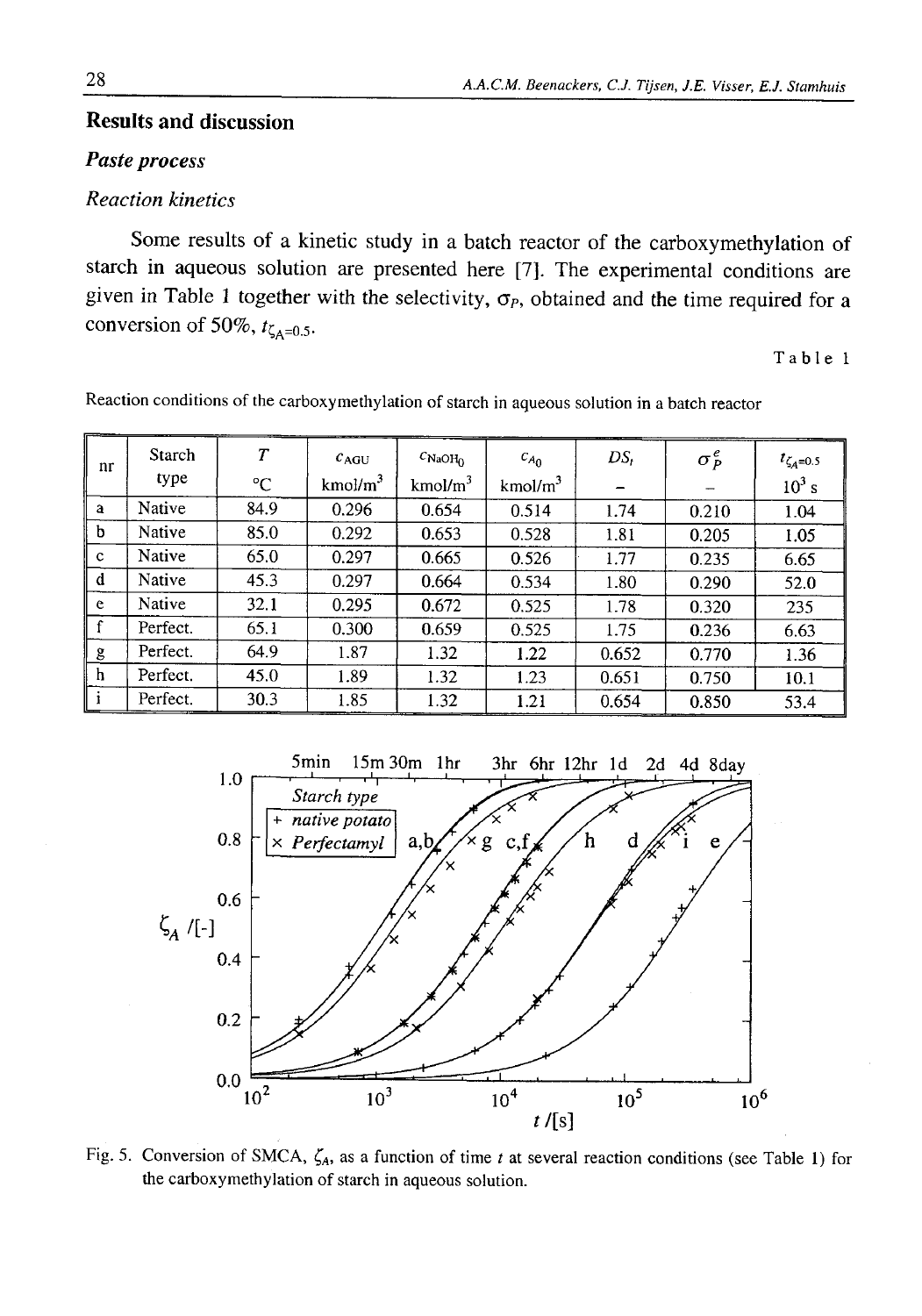## **Results and discussion**

## *Paste process*

## *Reaction kinetics*

Some results of a kinetic study in a batch reactor of the carboxymethylation of starch in aqueous solution are presented here [7]. The experimental conditions are given in Table 1 together with the selectivity,  $\sigma_P$ , obtained and the time required for a conversion of 50%,  $t_{\zeta_{A}=0.5}$ .

Table 1

| nr           | Starch   | $\overline{T}$ | $c_{AGU}$           | $c_{\text{NaOH}_0}$ | $c_{A_0}$           | $DS_t$ | $\sigma_P^e$             | $t_{\zeta_A=0.5}$ |
|--------------|----------|----------------|---------------------|---------------------|---------------------|--------|--------------------------|-------------------|
|              | type     | $^{\circ}$ C   | kmol/m <sup>3</sup> | kmol/m <sup>3</sup> | kmol/m <sup>3</sup> |        | $\overline{\phantom{m}}$ | $10^3$ s          |
| a            | Native   | 84.9           | 0.296               | 0.654               | 0.514               | 1.74   | 0.210                    | 1.04              |
| b            | Native   | 85.0           | 0.292               | 0.653               | 0.528               | 1.81   | 0.205                    | 1.05              |
| $\mathbf{C}$ | Native   | 65.0           | 0.297               | 0.665               | 0.526               | 1.77   | 0.235                    | 6.65              |
| d            | Native   | 45.3           | 0.297               | 0.664               | 0.534               | 1.80   | 0.290                    | 52.0              |
| e            | Native   | 32.1           | 0.295               | 0.672               | 0.525               | 1.78   | 0.320                    | 235               |
| f            | Perfect. | 65.1           | 0.300               | 0.659               | 0.525               | 1.75   | 0.236                    | 6.63              |
| g            | Perfect. | 64.9           | 1.87                | 1.32                | 1.22                | 0.652  | 0.770                    | 1.36              |
| h            | Perfect. | 45.0           | 1.89                | 1.32                | 1.23                | 0.651  | 0.750                    | 10.1              |
|              | Perfect. | 30.3           | 1.85                | 1.32                | 1.21                | 0.654  | 0.850                    | 53.4              |

Reaction conditions of the carboxymethylation of starch in aqueous solution in a batch reactor



Fig. 5. Conversion of SMCA, *ζΑ,* as a function of time *t* at several reaction conditions (see Table 1) for the carboxymethylation of starch in aqueous solution.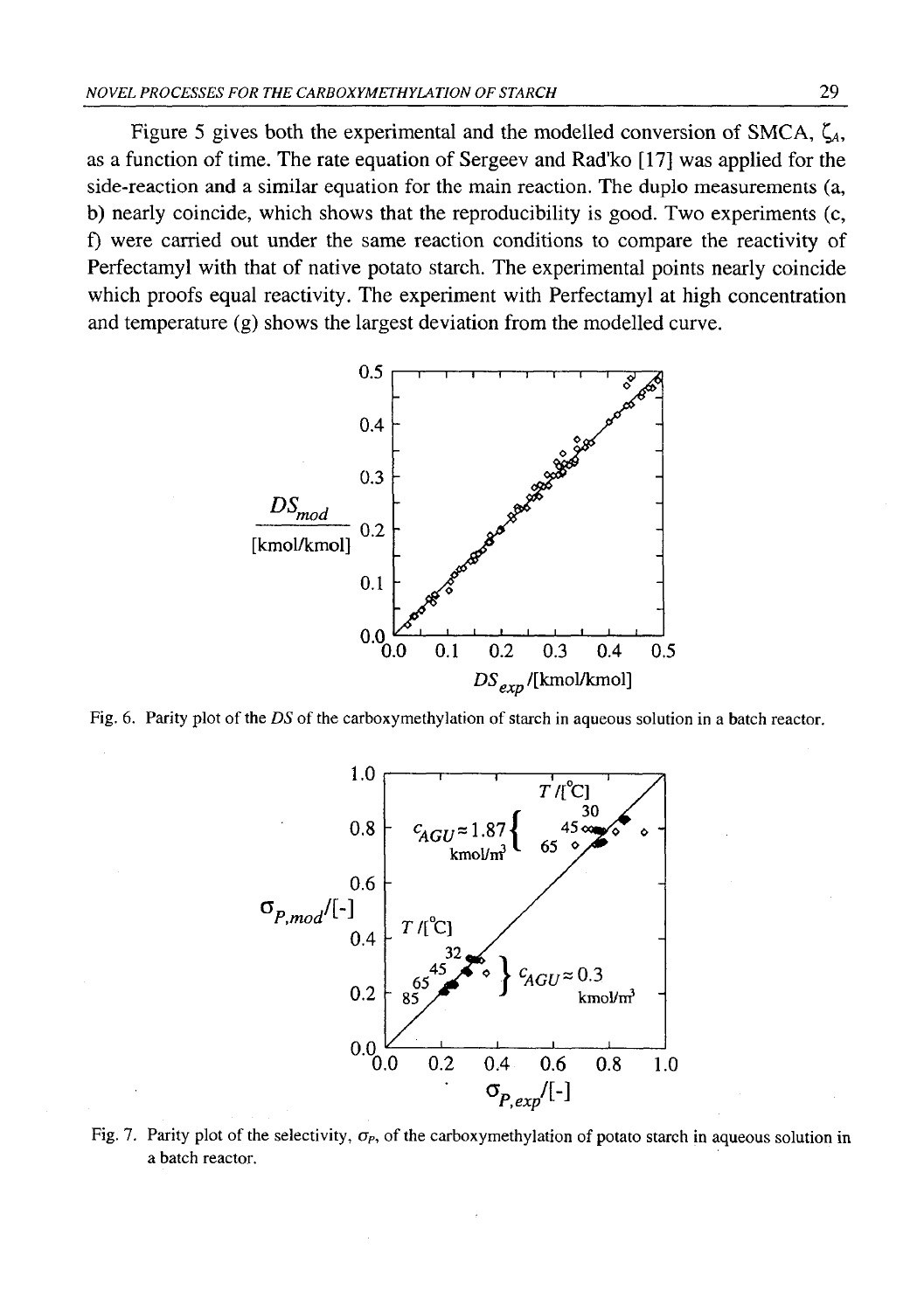Figure 5 gives both the experimental and the modelled conversion of SMCA,  $\zeta_A$ , as a function of time. The rate equation of Sergeev and Rad'ko [17] was applied for the side-reaction and a similar equation for the main reaction. The duplo measurements (a, b) nearly coincide, which shows that the reproducibility is good. Two experiments (c, f) were carried out under the same reaction conditions to compare the reactivity of Perfectamyl with that of native potato starch. The experimental points nearly coincide which proofs equal reactivity. The experiment with Perfectamyl at high concentration and temperature (g) shows the largest deviation from the modelled curve.



Fig. 6. Parity plot of the *DS* of the carboxymethylation of starch in aqueous solution in a batch reactor.



Fig. 7. Parity plot of the selectivity,  $σ<sub>P</sub>$ , of the carboxymethylation of potato starch in aqueous solution in a batch reactor.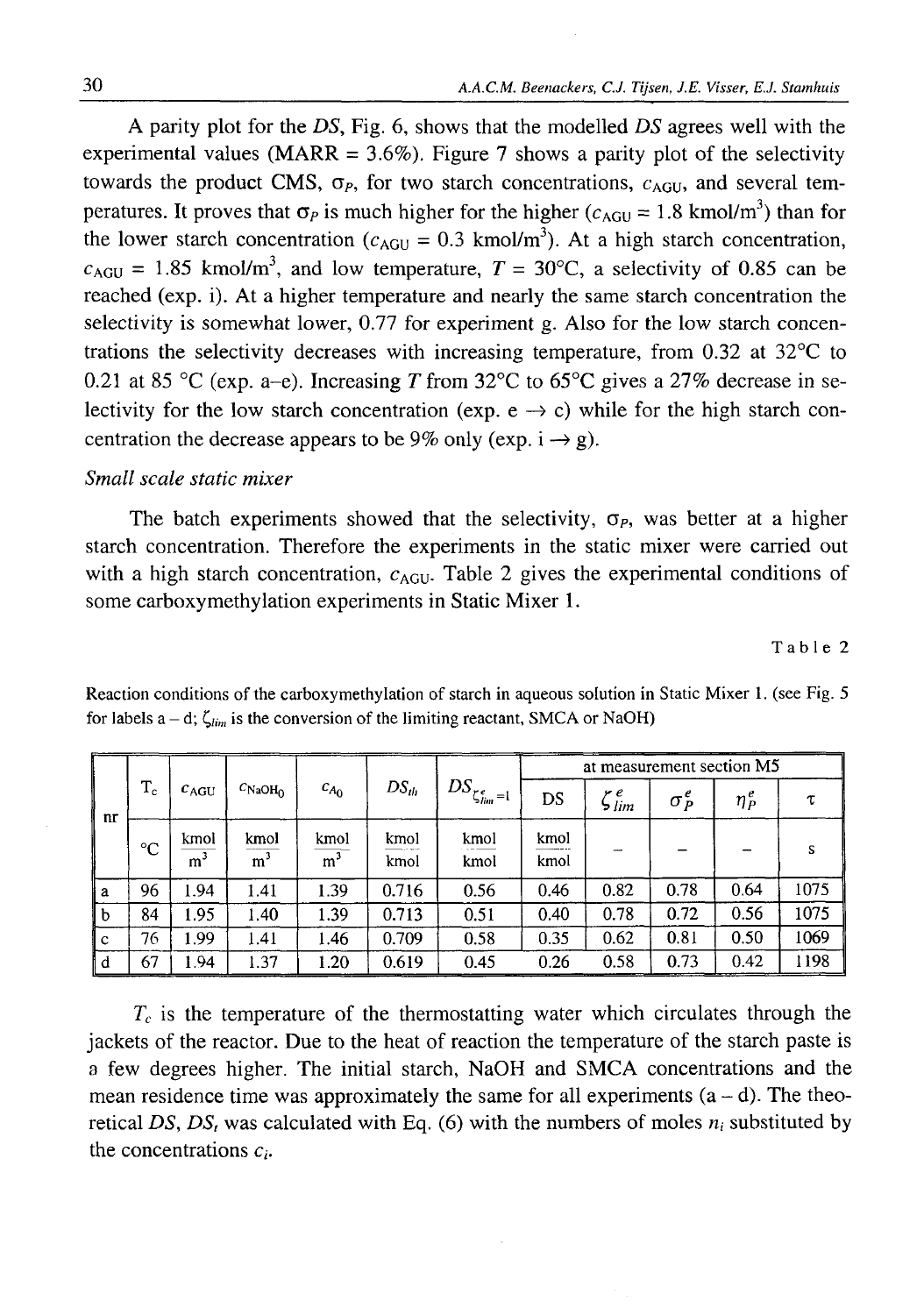A parity plot for the *DS,* Fig. 6 , shows that the modelled *DS* agrees well with the experimental values (MARR =  $3.6\%$ ). Figure 7 shows a parity plot of the selectivity towards the product CMS,  $\sigma_P$ , for two starch concentrations,  $c_{AGU}$ , and several temperatures. It proves that  $\sigma_p$  is much higher for the higher ( $c_{AGU} = 1.8$  kmol/m<sup>3</sup>) than for the lower starch concentration ( $c_{AGU} = 0.3$  kmol/m<sup>3</sup>). At a high starch concentration,  $c_{AGU} = 1.85$  kmol/m<sup>3</sup>, and low temperature,  $T = 30^{\circ}$ C, a selectivity of 0.85 can be reached (exp. i). At a higher temperature and nearly the same starch concentration the selectivity is somewhat lower, 0.77 for experiment g. Also for the low starch concentrations the selectivity decreases with increasing temperature, from 0.32 at 32°C to 0.21 at 85 °C (exp. a–e). Increasing *T* from  $32^{\circ}$ C to 65<sup>o</sup>C gives a 27% decrease in selectivity for the low starch concentration (exp.  $e \rightarrow c$ ) while for the high starch concentration the decrease appears to be 9% only (exp.  $i \rightarrow g$ ).

### *Small scale static mixer*

The batch experiments showed that the selectivity,  $\sigma_p$ , was better at a higher starch concentration. Therefore the experiments in the static mixer were carried out with a high starch concentration,  $c_{AGU}$ . Table 2 gives the experimental conditions of some carboxymethylation experiments in Static Mixer 1.

Table 2

| nr          |             | $c_{AGU}$              | $c_{\text{NaOH}_2}$    | $c_{A_0}$              | $DS_{th}$    | $\int DS_{\zeta_{\ell m}^e=1}$ . | at measurement section M5 |                       |              |            |      |
|-------------|-------------|------------------------|------------------------|------------------------|--------------|----------------------------------|---------------------------|-----------------------|--------------|------------|------|
|             | $T_c$       |                        |                        |                        |              |                                  | DS                        | $\zeta^{\,e}_{\,lim}$ | $\sigma_p^e$ | $\eta_P^e$ | τ    |
|             | $^{\circ}C$ | kmol<br>m <sup>3</sup> | kmol<br>m <sup>3</sup> | kmol<br>m <sup>3</sup> | kmol<br>kmol | kmol<br>kmol                     | kmol<br>kmol              |                       |              |            | s    |
| Ιa          | 96          | 1.94                   | 1.41                   | 1.39                   | 0.716        | 0.56                             | 0.46                      | 0.82                  | 0.78         | 0.64       | 1075 |
| $\mathbf b$ | 84          | 1.95                   | 1.40                   | 1.39                   | 0.713        | 0.51                             | 0.40                      | 0.78                  | 0.72         | 0.56       | 1075 |
| $\mathbf c$ | 76          | 1.99                   | 1.41                   | 1.46                   | 0.709        | 0.58                             | 0.35                      | 0.62                  | 0.81         | 0.50       | 1069 |
| .d          | 67          | l.94                   | 1.37                   | 1.20                   | 0.619        | 0.45                             | 0.26                      | 0.58                  | 0.73         | 0.42       | 1198 |

Reaction conditions of the carboxymethylation of starch in aqueous solution in Static Mixer 1. (see Fig. 5 for labels  $a - d$ ;  $\zeta_{lim}$  is the conversion of the limiting reactant, SMCA or NaOH)

 $T_c$  is the temperature of the thermostatting water which circulates through the jackets of the reactor. Due to the heat of reaction the temperature of the starch paste is a few degrees higher. The initial starch, NaOH and SMCA concentrations and the mean residence time was approximately the same for all experiments  $(a - d)$ . The theoretical DS, DS<sub>t</sub> was calculated with Eq. (6) with the numbers of moles  $n_i$  substituted by the concentrations  $c_i$ .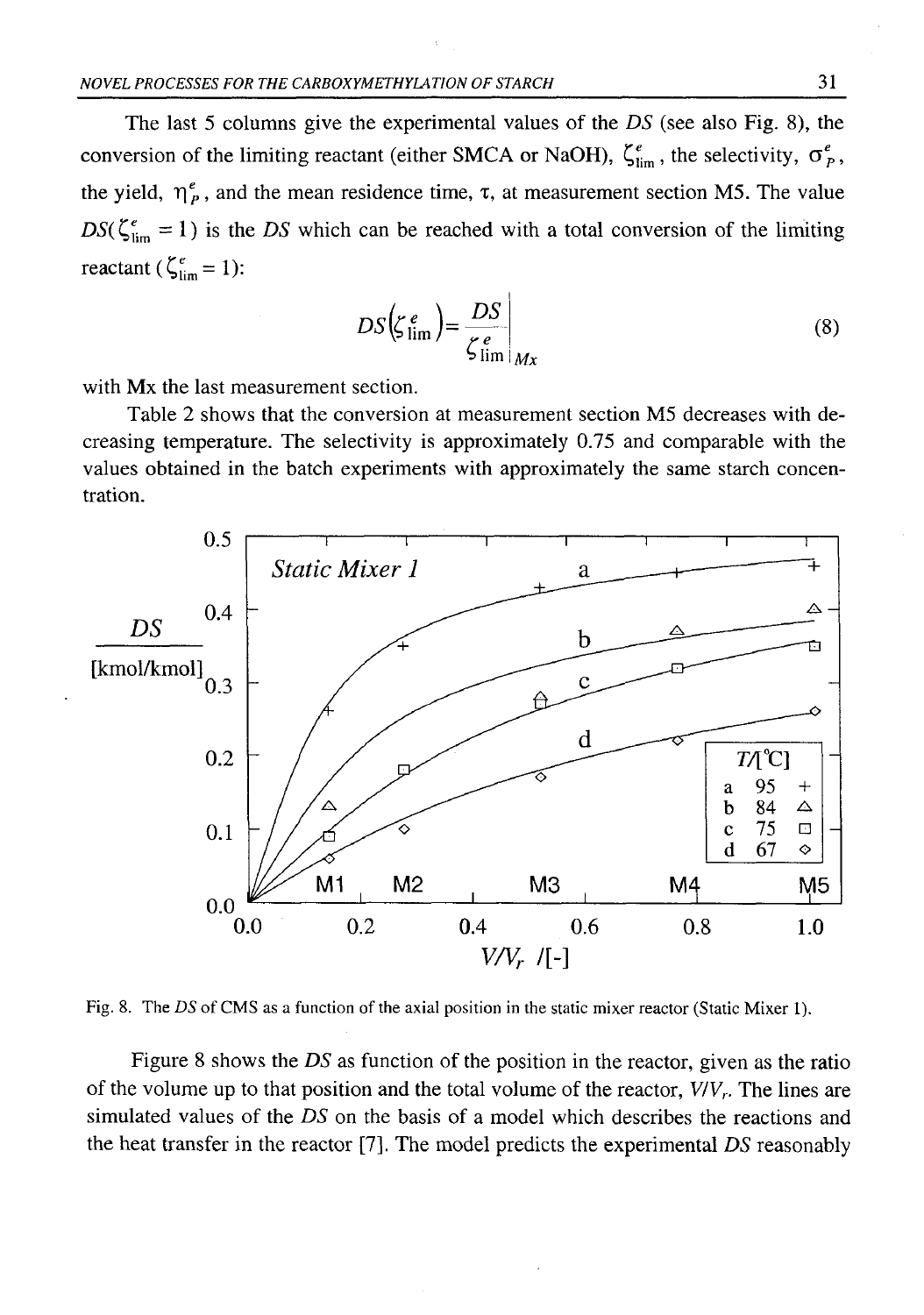The last 5 columns give the experimental values of the *DS* (see also Fig. 8), the conversion of the limiting reactant (either SMCA or NaOH),  $\zeta_{\text{lim}}^e$ , the selectivity,  $\sigma_p^e$ , the yield,  $\eta_{p}^{\ell}$ , and the mean residence time,  $\tau$ , at measurement section M5. The value  $DS(\zeta_{\text{lim}}^e = 1)$  is the *DS* which can be reached with a total conversion of the limiting reactant ( $\zeta_{\text{lim}}^e = 1$ ):

$$
DS\left(\zeta_{\text{lim}}^e\right) = \frac{DS}{\zeta_{\text{lim}}^e}\bigg|_{Mx} \tag{8}
$$

with Mx the last measurement section.

Table 2 shows that the conversion at measurement section M5 decreases with decreasing temperature. The selectivity is approximately 0.75 and comparable with the values obtained in the batch experiments with approximately the same starch concentration.



Fig. 8. The *DS* of CMS as a function of the axial position in the static mixer reactor (Static Mixer 1).

Figure 8 shows the *DS* as function of the position in the reactor, given as the ratio of the volume up to that position and the total volume of the reactor, *V/Vr.* The lines are simulated values of the *DS* on the basis of a model which describes the reactions and the heat transfer in the reactor [7]. The model predicts the experimental *DS* reasonably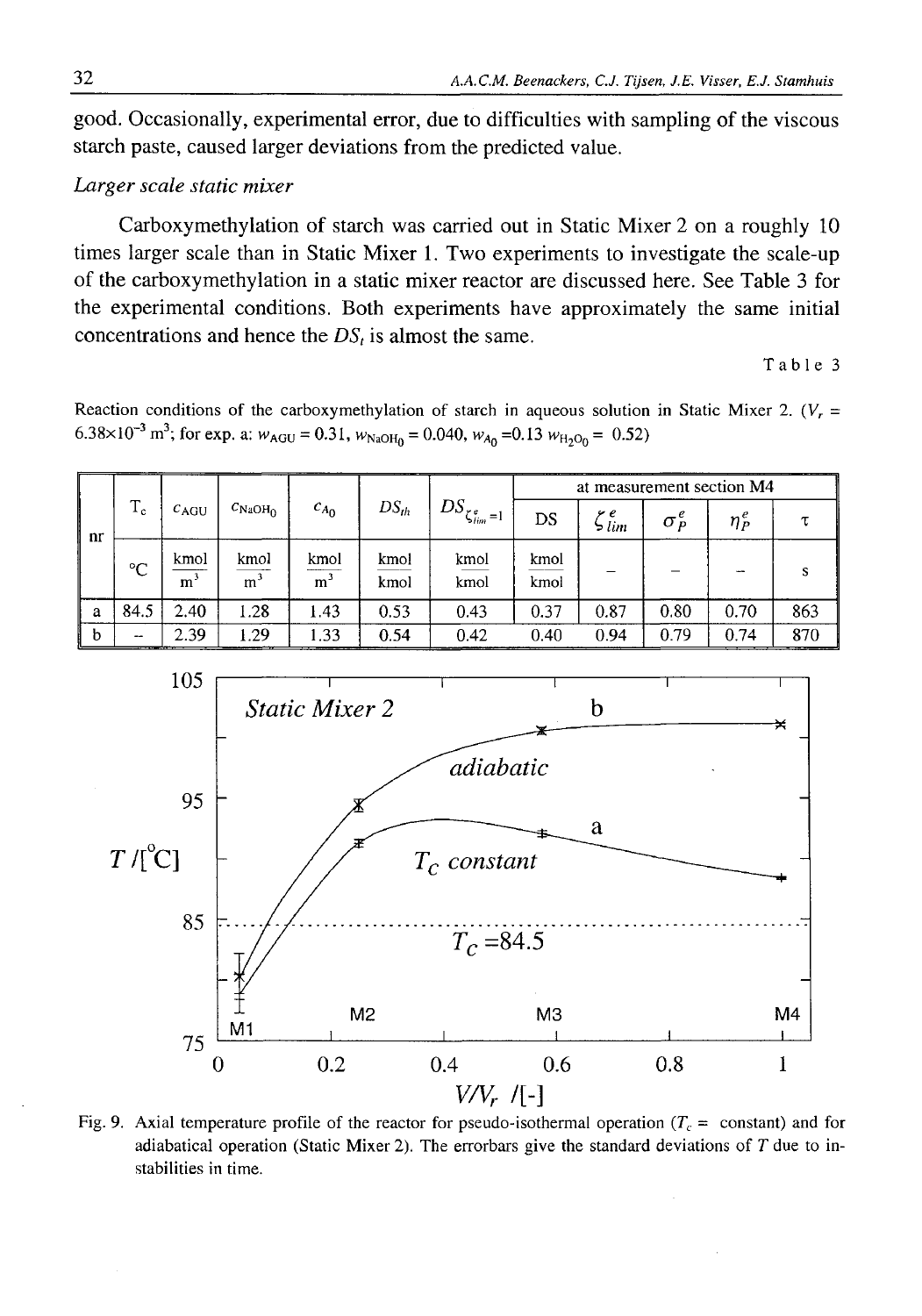good. Occasionally, experimental error, due to difficulties with sampling of the viscous starch paste, caused larger deviations from the predicted value.

## *Larger scale static mixer*

Carboxymethylation of starch was carried out in Static Mixer 2 on a roughly 10 times larger scale than in Static Mixer 1. Two experiments to investigate the scale-up of the carboxymethylation in a static mixer reactor are discussed here. See Table 3 for the experimental conditions. Both experiments have approximately the same initial concentrations and hence the  $DS<sub>t</sub>$  is almost the same.

Table 3

Reaction conditions of the carboxymethylation of starch in aqueous solution in Static Mixer 2. (*Vr =* 6.38×10<sup>-3</sup> m<sup>3</sup>; for exp. a:  $w_{AGU} = 0.31$ ,  $w_{NaOH_0} = 0.040$ ,  $w_{A_0} = 0.13$   $w_{H_2O_0} = 0.52$ )

| nr | $T_c$       | $c_{AGU}$ | $C_{\rm NaOH_{\rm O}}$ | $c_{A_0}$              | $DS_{th}$    | $^{+}DS_{\zeta_{lim}^e=1}$ , | at measurement section M4 |              |                                                        |            |     |
|----|-------------|-----------|------------------------|------------------------|--------------|------------------------------|---------------------------|--------------|--------------------------------------------------------|------------|-----|
|    |             |           |                        |                        |              |                              | DS                        | y e<br>ווו ל | $\sigma_{\scriptscriptstyle P}^{\scriptscriptstyle e}$ | $\eta^e_P$ |     |
|    | $^{\circ}C$ | kmol<br>m | kmol<br>m <sup>3</sup> | kmol<br>m <sup>3</sup> | kmol<br>kmol | kmol<br>kmol                 | kmol<br>kmol              |              |                                                        |            |     |
| a  | 84.5        | 2.40      | 1.28                   | 1.43                   | 0.53         | 0.43                         | 0.37                      | 0.87         | 0.80                                                   | 0.70       | 863 |
| b  | --          | 2.39      | 1.29                   | 1.33                   | 0.54         | 0.42                         | 0.40                      | 0.94         | 0.79                                                   | 0.74       | 870 |



Fig. 9. Axial temperature profile of the reactor for pseudo-isothermal operation  $(T_c = \text{constant})$  and for adiabatical operation (Static Mixer 2). The errorbars give the standard deviations of *T* due to instabilities in time.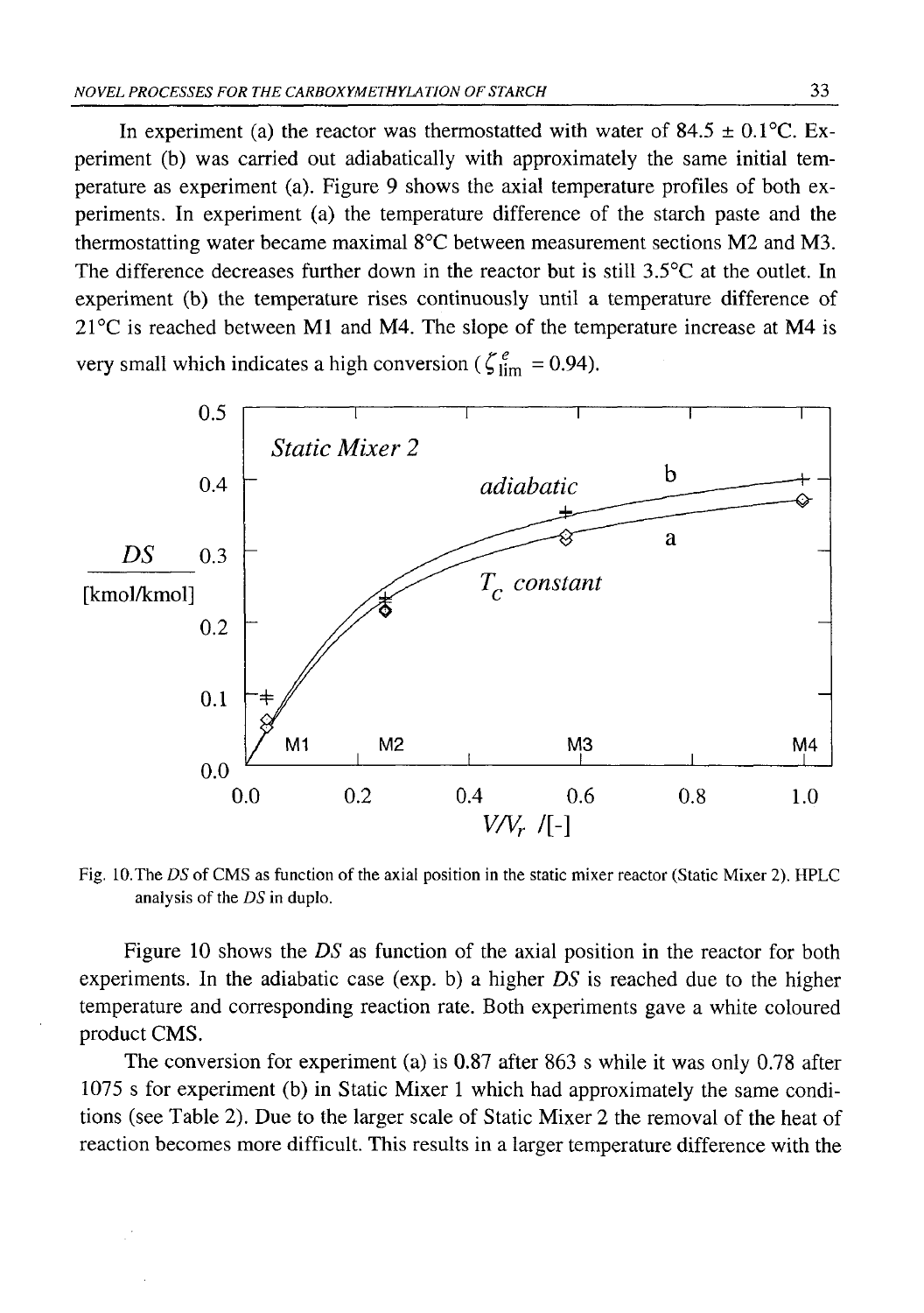In experiment (a) the reactor was thermostatted with water of 84.5  $\pm$  0.1 °C. Experiment (b) was carried out adiabatically with approximately the same initial temperature as experiment (a). Figure 9 shows the axial temperature profiles of both experiments. In experiment (a) the temperature difference of the starch paste and the thermostatting water became maximal  $8^{\circ}$ C between measurement sections M2 and M3. The difference decreases further down in the reactor but is still 3.5°C at the outlet. In experiment (b) the temperature rises continuously until a temperature difference of  $21^{\circ}$ C is reached between M1 and M4. The slope of the temperature increase at M4 is very small which indicates a high conversion ( $\zeta_{\text{lim}}^e$  = 0.94).



Fig. lO.The *DS* of CMS as function of the axial position in the static mixer reactor (Static Mixer 2). HPLC analysis of the *DS* in duplo.

Figure 10 shows the *DS* as function of the axial position in the reactor for both experiments. In the adiabatic case (exp. b) a higher *DS* is reached due to the higher temperature and corresponding reaction rate. Both experiments gave a white coloured product CMS.

The conversion for experiment (a) is 0.87 after 863 s while it was only 0.78 after 1075 s for experiment (b) in Static Mixer 1 which had approximately the same conditions (see Table 2). Due to the larger scale of Static Mixer 2 the removal of the heat of reaction becomes more difficult. This results in a larger temperature difference with the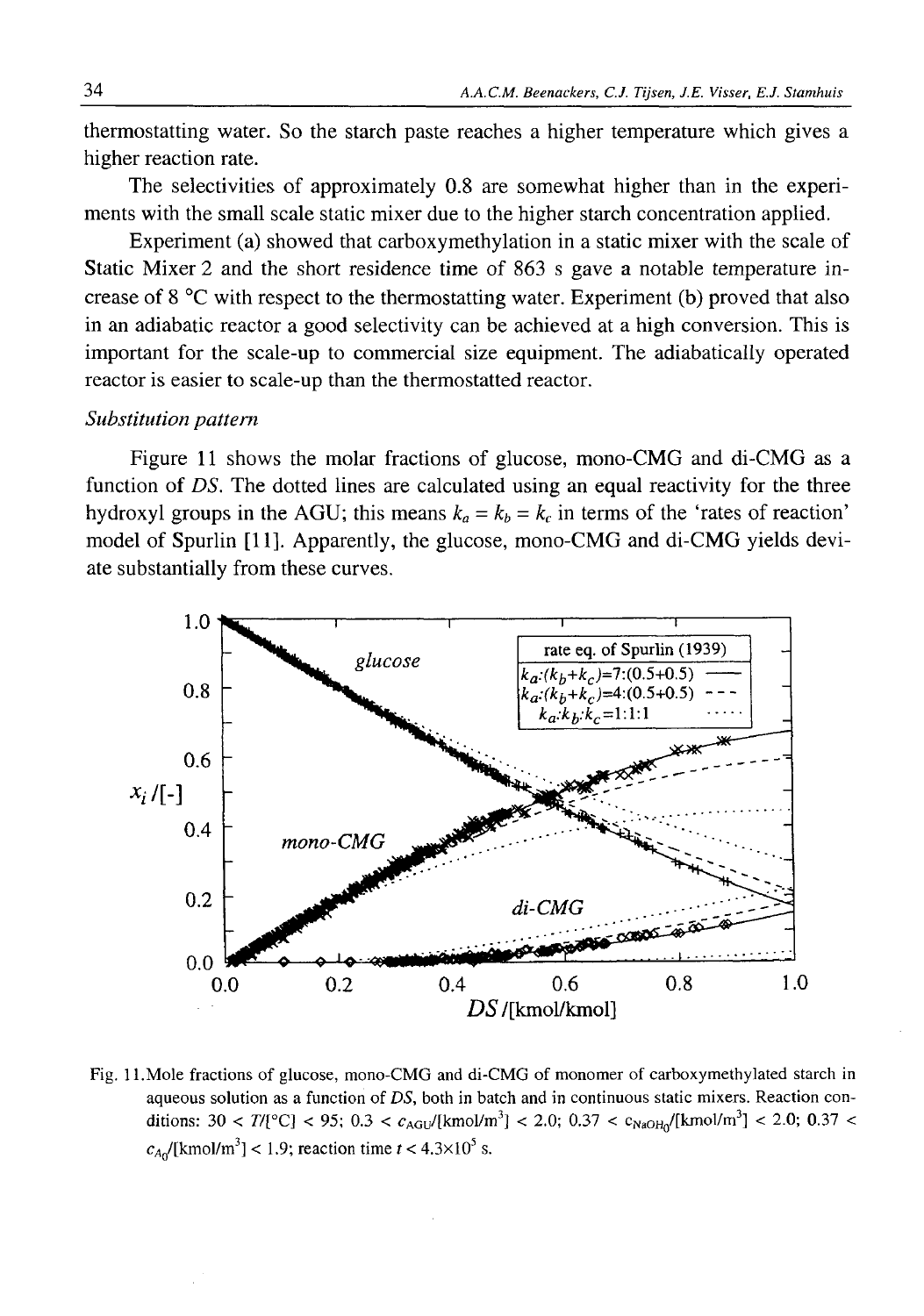thermostatting water. So the starch paste reaches a higher temperature which gives a higher reaction rate.

The selectivities of approximately 0.8 are somewhat higher than in the experiments with the small scale static mixer due to the higher starch concentration applied.

Experiment (a) showed that carboxymethylation in a static mixer with the scale of Static Mixer 2 and the short residence time of 863 s gave a notable temperature increase of 8 °C with respect to the thermostatting water. Experiment (b) proved that also in an adiabatic reactor a good selectivity can be achieved at a high conversion. This is important for the scale-up to commercial size equipment. The adiabatically operated reactor is easier to scale-up than the thermostatted reactor.

## *Substitution pattern*

Figure 11 shows the molar fractions of glucose, mono-CMG and di-CMG as a function of *DS*. The dotted lines are calculated using an equal reactivity for the three hydroxyl groups in the AGU; this means  $k_a = k_b = k_c$  in terms of the 'rates of reaction' model of Spurlin [11]. Apparently, the glucose, mono-CMG and di-CMG yields deviate substantially from these curves.



Fig. 11.Mole fractions of glucose, mono-CMG and di-CMG of monomer of carboxymethylated starch in aqueous solution as a function of *DS,* both in batch and in continuous static mixers. Reaction conditions:  $30 < T/[°C] < 95$ ;  $0.3 < c_{AGU}/[kmol/m^3] < 2.0$ ;  $0.37 < c_{NaOH}/[kmol/m^3] < 2.0$ ;  $0.37 <$  $c_{A0}$ /[kmol/m<sup>3</sup>] < 1.9; reaction time  $t$  < 4.3×10<sup>5</sup> s.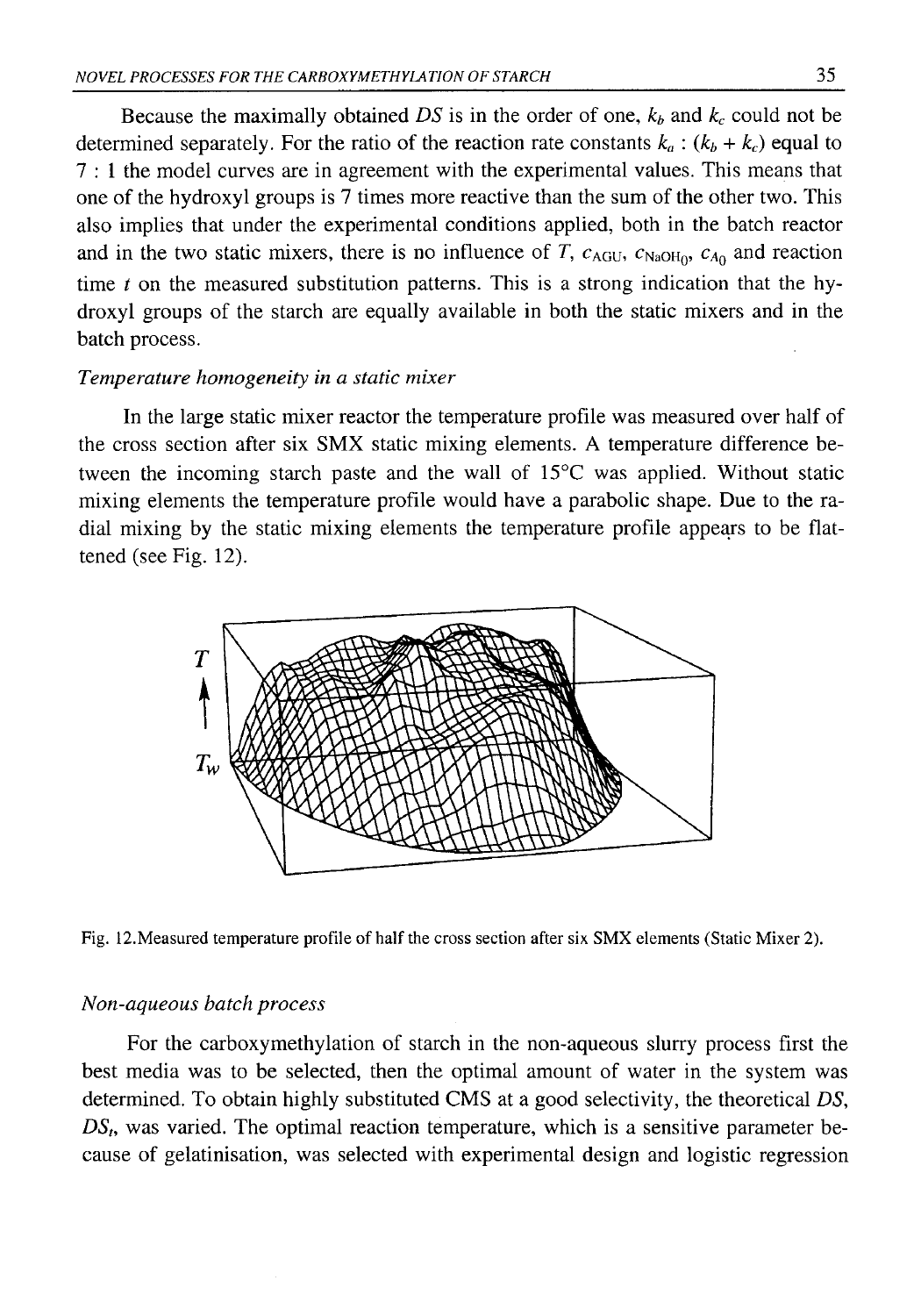Because the maximally obtained  $DS$  is in the order of one,  $k_b$  and  $k_c$  could not be determined separately. For the ratio of the reaction rate constants  $k_a$ :  $(k_b + k_c)$  equal to 7 : 1 the model curves are in agreement with the experimental values. This means that one of the hydroxyl groups is 7 times more reactive than the sum of the other two. This also implies that under the experimental conditions applied, both in the batch reactor and in the two static mixers, there is no influence of *T*,  $c_{AGU}$ ,  $c_{NaOH}$ ,  $c_{A0}$  and reaction time *t* on the measured substitution patterns. This is a strong indication that the hydroxyl groups of the starch are equally available in both the static mixers and in the batch process.

### *Temperature homogeneity in a static mixer*

In the large static mixer reactor the temperature profile was measured over half of the cross section after six SMX static mixing elements. A temperature difference between the incoming starch paste and the wall of 15°C was applied. Without static mixing elements the temperature profile would have a parabolic shape. Due to the radial mixing by the static mixing elements the temperature profile appears to be flattened (see Fig. 12).



Fig. 12.Measured temperature profile of half the cross section after six SMX elements (Static Mixer 2).

#### *Non-aqueous batch process*

For the carboxymethylation of starch in the non-aqueous slurry process first the best media was to be selected, then the optimal amount of water in the system was determined. To obtain highly substituted CMS at a good selectivity, the theoretical *DS, DS(,* was varied. The optimal reaction temperature, which is a sensitive parameter because of gelatinisation, was selected with experimental design and logistic regression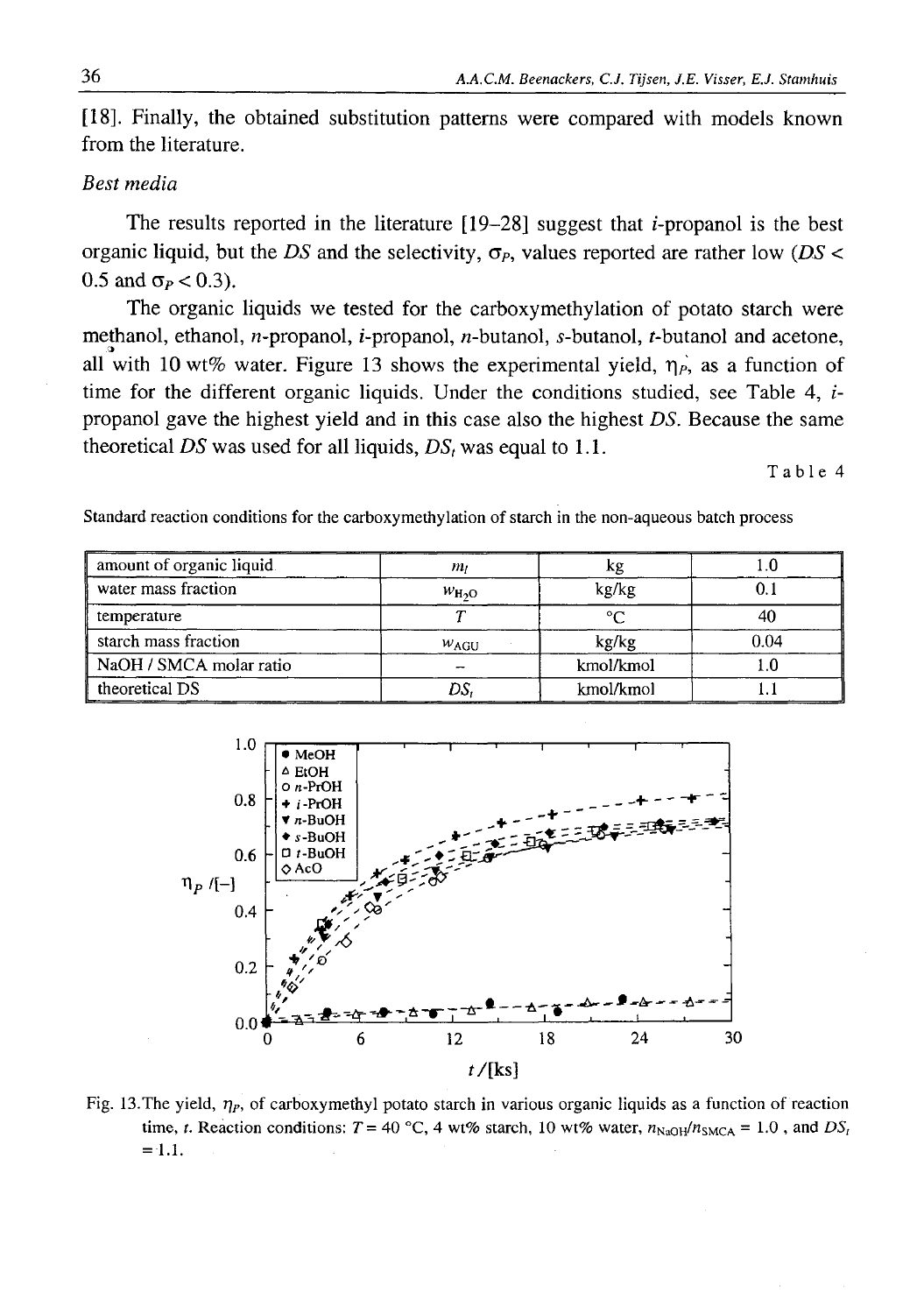[18]. Finally, the obtained substitution patterns were compared with models known from the literature.

## *Best media*

The results reported in the literature  $[19-28]$  suggest that *i*-propanol is the best organic liquid, but the *DS* and the selectivity, *σ Ρ,* values reported are rather low *(DS <*  $0.5$  and  $\sigma_P < 0.3$ ).

The organic liquids we tested for the carboxymethylation of potato starch were methanol, ethanol, *n*-propanol, *i*-propanol, *n*-butanol, *s*-butanol, *t*-butanol and acetone, all with 10 wt% water. Figure 13 shows the experimental yield,  $\eta_{P}$ , as a function of time for the different organic liquids. Under the conditions studied, see Table 4,  $i$ propanol gave the highest yield and in this case also the highest *DS.* Because the same theoretical *DS* was used for all liquids,  $DS<sub>t</sub>$  was equal to 1.1.

Table 4

| amount of organic liquid. | mı               | κg                  |      |  |
|---------------------------|------------------|---------------------|------|--|
| water mass fraction       | $W_{H2O}$        | kg/kg               |      |  |
| temperature               |                  | $\sim$              |      |  |
| starch mass fraction      | W <sub>AGU</sub> | kg/kg               | 0.04 |  |
| NaOH / SMCA molar ratio   |                  | kmol/kmol           |      |  |
| theoretical DS            |                  | kmol/kmol<br>------ |      |  |





Fig. 13.The yield, *ηΡ,* of carboxymethyl potato starch in various organic liquids as a function of reaction time, *t.* Reaction conditions:  $T = 40^{\circ}\text{C}$ , 4 wt% starch, 10 wt% water,  $n_{\text{NaOH}}/n_{\text{SMCA}} = 1.0$ , and  $DS_f$ = **1**.**1**.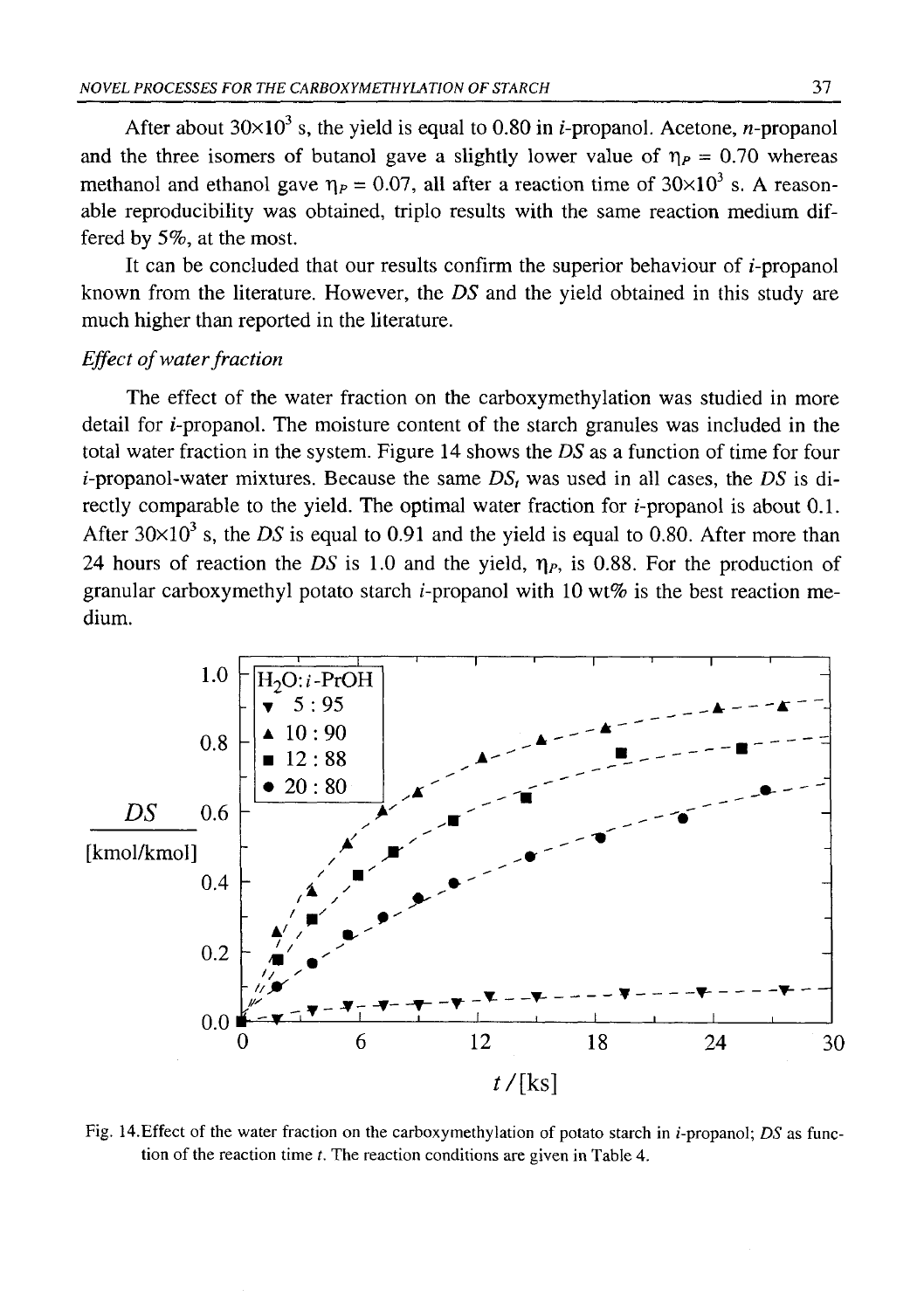After about  $30\times10^3$  s, the yield is equal to 0.80 in *i*-propanol. Acetone, *n*-propanol and the three isomers of butanol gave a slightly lower value of  $\eta_p = 0.70$  whereas methanol and ethanol gave  $\eta_P = 0.07$ , all after a reaction time of  $30 \times 10^3$  s. A reasonable reproducibility was obtained, triplo results with the same reaction medium differed by 5%, at the most.

It can be concluded that our results confirm the superior behaviour of  $i$ -propanol known from the literature. However, the *DS* and the yield obtained in this study are much higher than reported in the literature.

## *Effect of water fraction*

The effect of the water fraction on the carboxymethylation was studied in more detail for  $i$ -propanol. The moisture content of the starch granules was included in the total water fraction in the system. Figure 14 shows the *DS* as a function of time for four  $i$ -propanol-water mixtures. Because the same  $DS<sub>t</sub>$  was used in all cases, the *DS* is directly comparable to the yield. The optimal water fraction for  $i$ -propanol is about 0.1. After  $30\times10^3$  s, the *DS* is equal to 0.91 and the yield is equal to 0.80. After more than 24 hours of reaction the *DS* is 1.0 and the yield,  $\eta_P$ , is 0.88. For the production of granular carboxymethyl potato starch *i*-propanol with 10 wt% is the best reaction medium.



Fig. 14. Effect of the water fraction on the carboxymethylation of potato starch in *i*-propanol; *DS* as function of the reaction time *t.* The reaction conditions are given in Table 4.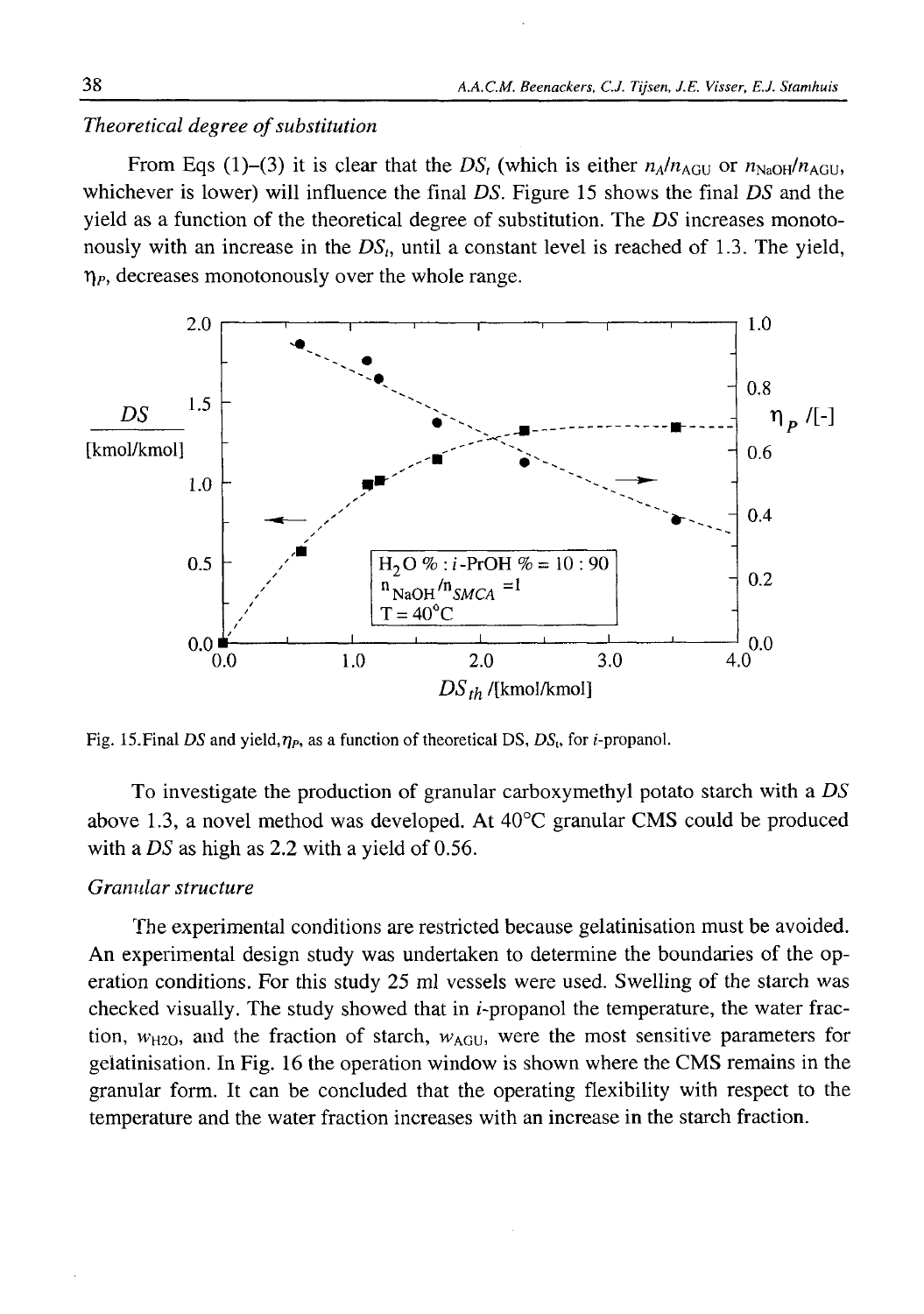## *Theoretical degree of substitution*

From Eqs (1)–(3) it is clear that the  $DS_t$  (which is either  $n_A/n_{AGU}$  or  $n_{NaOH}/n_{AGU}$ , whichever is lower) will influence the final *DS.* Figure 15 shows the final *DS* and the yield as a function of the theoretical degree of substitution. The *DS* increases monotonously with an increase in the  $DS<sub>t</sub>$ , until a constant level is reached of 1.3. The yield,  $\eta_P$ , decreases monotonously over the whole range.



Fig. 15. Final *DS* and yield,  $η<sub>P</sub>$ , as a function of theoretical DS, *DS*<sub>t</sub>, for *i*-propanol.

To investigate the production of granular carboxymethyl potato starch with a *DS* above 1.3, a novel method was developed. At 40°C granular CMS could be produced with a *DS* as high as 2.2 with a yield of 0.56.

## *Granular structure*

The experimental conditions are restricted because gelatinisation must be avoided. An experimental design study was undertaken to determine the boundaries of the operation conditions. For this study 25 ml vessels were used. Swelling of the starch was checked visually. The study showed that in  $i$ -propanol the temperature, the water fraction,  $w_{H2O}$ , and the fraction of starch,  $w_{AGU}$ , were the most sensitive parameters for gelatinisation. In Fig. 16 the operation window is shown where the CMS remains in the granular form. It can be concluded that the operating flexibility with respect to the temperature and the water fraction increases with an increase in the starch fraction.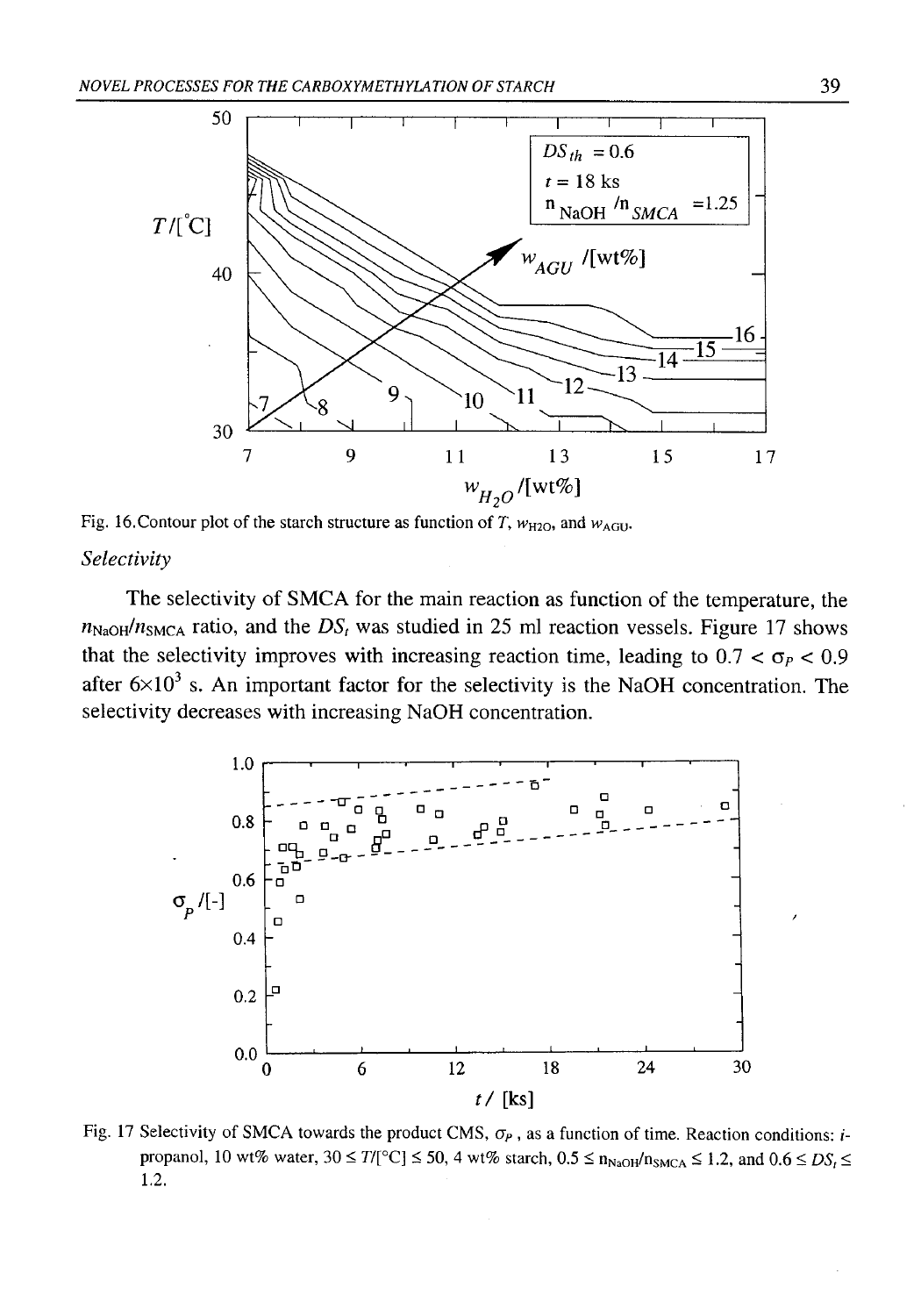

Fig. 16. Contour plot of the starch structure as function of *T*,  $w_{\text{H2O}}$ , and  $w_{\text{AGU}}$ .

## *Selectivity*

The selectivity of SMCA for the main reaction as function of the temperature, the  $n_{\text{NaOH}}/n_{\text{SMCA}}$  ratio, and the  $DS_t$  was studied in 25 ml reaction vessels. Figure 17 shows that the selectivity improves with increasing reaction time, leading to  $0.7 < \sigma_P < 0.9$ after  $6 \times 10^3$  s. An important factor for the selectivity is the NaOH concentration. The selectivity decreases with increasing NaOH concentration.



Fig. 17 Selectivity of SMCA towards the product CMS, *σΡ ,* as a function of time. Reaction conditions: *i*propanol, 10 wt% water,  $30 \le T/[^{\circ}C] \le 50$ , 4 wt% starch,  $0.5 \le n_{NaOH}/n_{SMCA} \le 1.2$ , and  $0.6 \le DS<sub>i</sub> \le$ 1.2.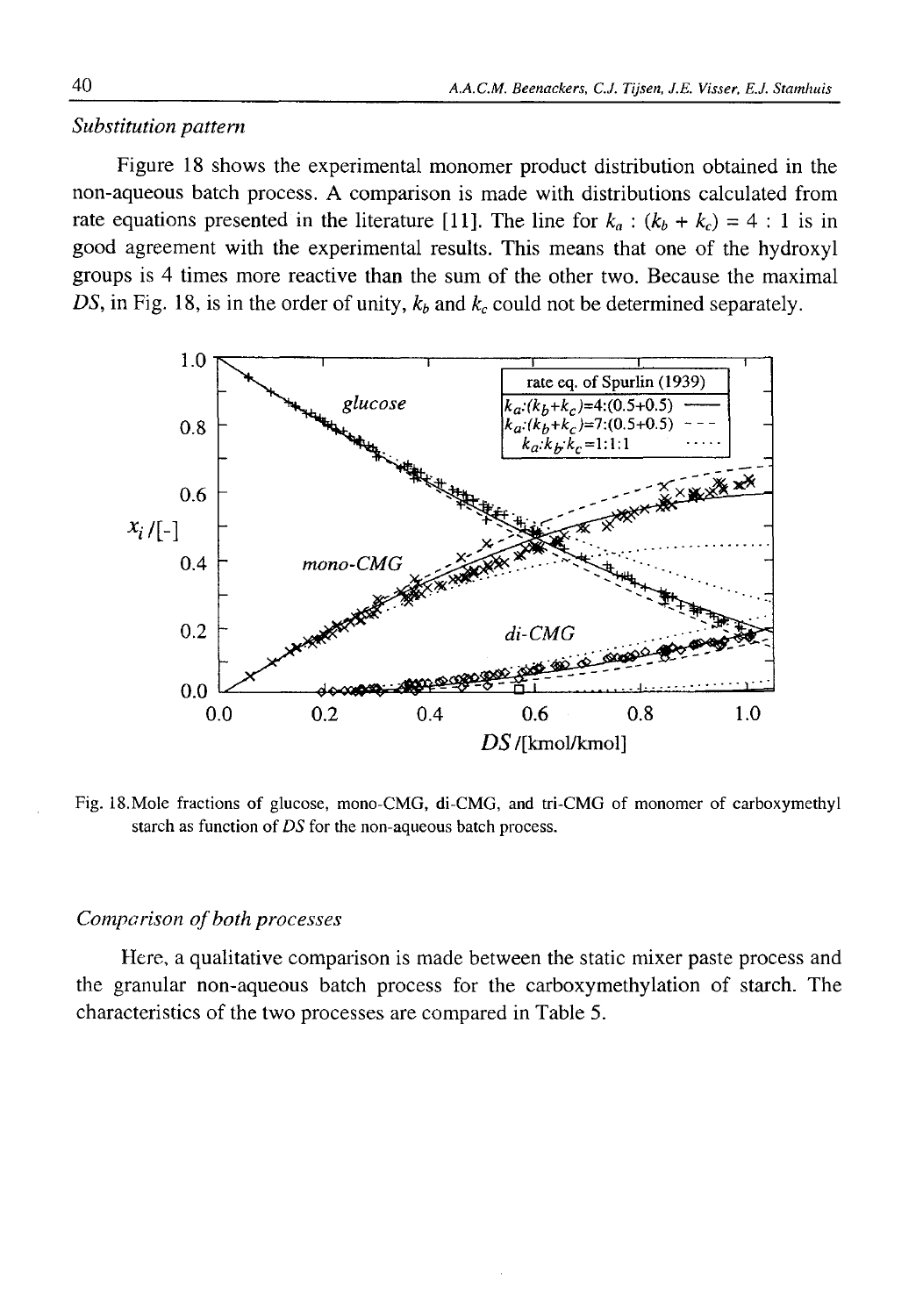## *Substitution pattern*

Figure 18 shows the experimental monomer product distribution obtained in the non-aqueous batch process. A comparison is made with distributions calculated from rate equations presented in the literature [11]. The line for  $k_a$  :  $(k_b + k_c) = 4 : 1$  is in good agreement with the experimental results. This means that one of the hydroxyl groups is 4 times more reactive than the sum of the other two. Because the maximal *DS*, in Fig. 18, is in the order of unity,  $k_b$  and  $k_c$  could not be determined separately.



Fig. 18.Mole fractions of glucose, mono-CMG, di-CMG, and tri-CMG of monomer of carboxymethyl starch as function of *DS* for the non-aqueous batch process.

### *Comparison of both processes*

Here, a qualitative comparison is made between the static mixer paste process and the granular non-aqueous batch process for the carboxymethylation of starch. The characteristics of the two processes are compared in Table 5.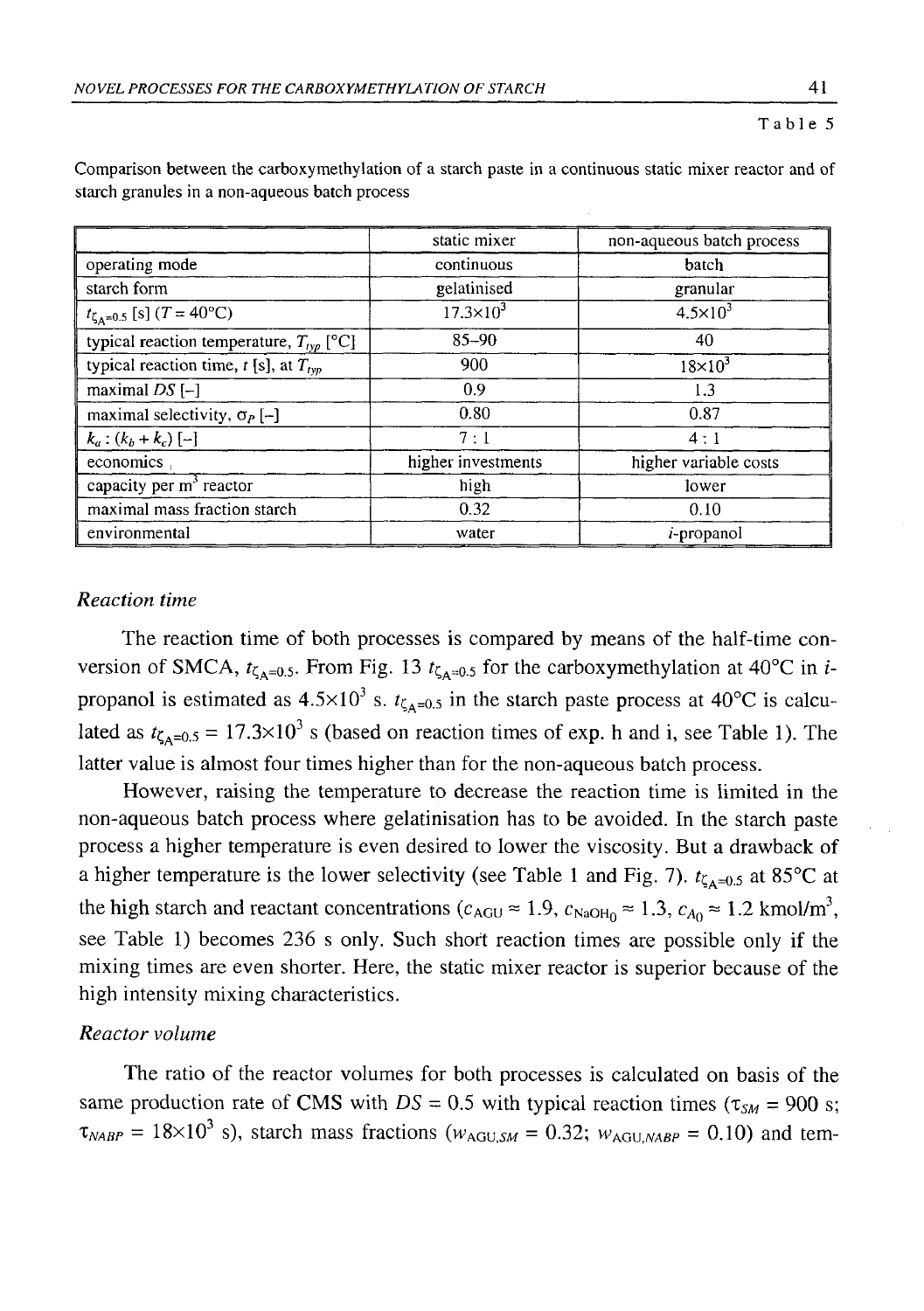Table 5

|                                              | static mixer         | non-aqueous batch process |
|----------------------------------------------|----------------------|---------------------------|
| operating mode                               | continuous           | batch                     |
| starch form                                  | gelatinised          | granular                  |
| $t_{\zeta_A=0.5}$ [s] $(T = 40^{\circ}C)$    | $17.3 \times 10^{3}$ | $4.5 \times 10^{3}$       |
| typical reaction temperature, $T_{Ivp}$ [°C] | $85 - 90$            | 40                        |
| typical reaction time, $t$ [s], at $T_{typ}$ | 900                  | $18\times10^3$            |
| maximal $DS$ [-]                             | 0.9                  | 1.3                       |
| maximal selectivity, $\sigma_P$ [-]          | 0.80                 | 0.87                      |
| $k_a$ : $(k_b + k_c)$ [-]                    | 7:1                  | 4:1                       |
| economics                                    | higher investments   | higher variable costs     |
| capacity per $m3$ reactor                    | high                 | lower                     |
| maximal mass fraction starch                 | 0.32                 | 0.10                      |
| environmental                                | water                | <i>i</i> -propanol        |

Comparison between the carboxymethylation of a starch paste in a continuous static mixer reactor and of starch granules in a non-aqueous batch process

## *Reaction time*

The reaction time of both processes is compared by means of the half-time conversion of SMCA,  $t_{\zeta_{A}=0.5}$ . From Fig. 13  $t_{\zeta_{A}=0.5}$  for the carboxymethylation at 40°C in *i*propanol is estimated as  $4.5 \times 10^3$  s.  $t_{\zeta_{A}=0.5}$  in the starch paste process at 40°C is calculated as  $t_{\zeta_{A}=0.5} = 17.3 \times 10^{3}$  s (based on reaction times of exp. h and i, see Table 1). The latter value is almost four times higher than for the non-aqueous batch process.

However, raising the temperature to decrease the reaction time is limited in the non-aqueous batch process where gelatinisation has to be avoided. In the starch paste process a higher temperature is even desired to lower the viscosity. But a drawback of a higher temperature is the lower selectivity (see Table 1 and Fig. 7).  $t_{\zeta_{A}=0.5}$  at 85°C at the high starch and reactant concentrations ( $c_{AGU} \approx 1.9$ ,  $c_{NaOH_0} \approx 1.3$ ,  $c_{A_0} \approx 1.2$  kmol/m<sup>3</sup>, see Table 1) becomes 236 s only. Such short reaction times are possible only if the mixing times are even shorter. Here, the static mixer reactor is superior because of the high intensity mixing characteristics.

## *Reactor volume*

The ratio of the reactor volumes for both processes is calculated on basis of the same production rate of CMS with  $DS = 0.5$  with typical reaction times  $(\tau_{SM} = 900 \text{ s};$  $\tau_{NABP} = 18 \times 10^3$  s), starch mass fractions ( $w_{AGU,SM} = 0.32$ ;  $w_{AGU, NABP} = 0.10$ ) and tem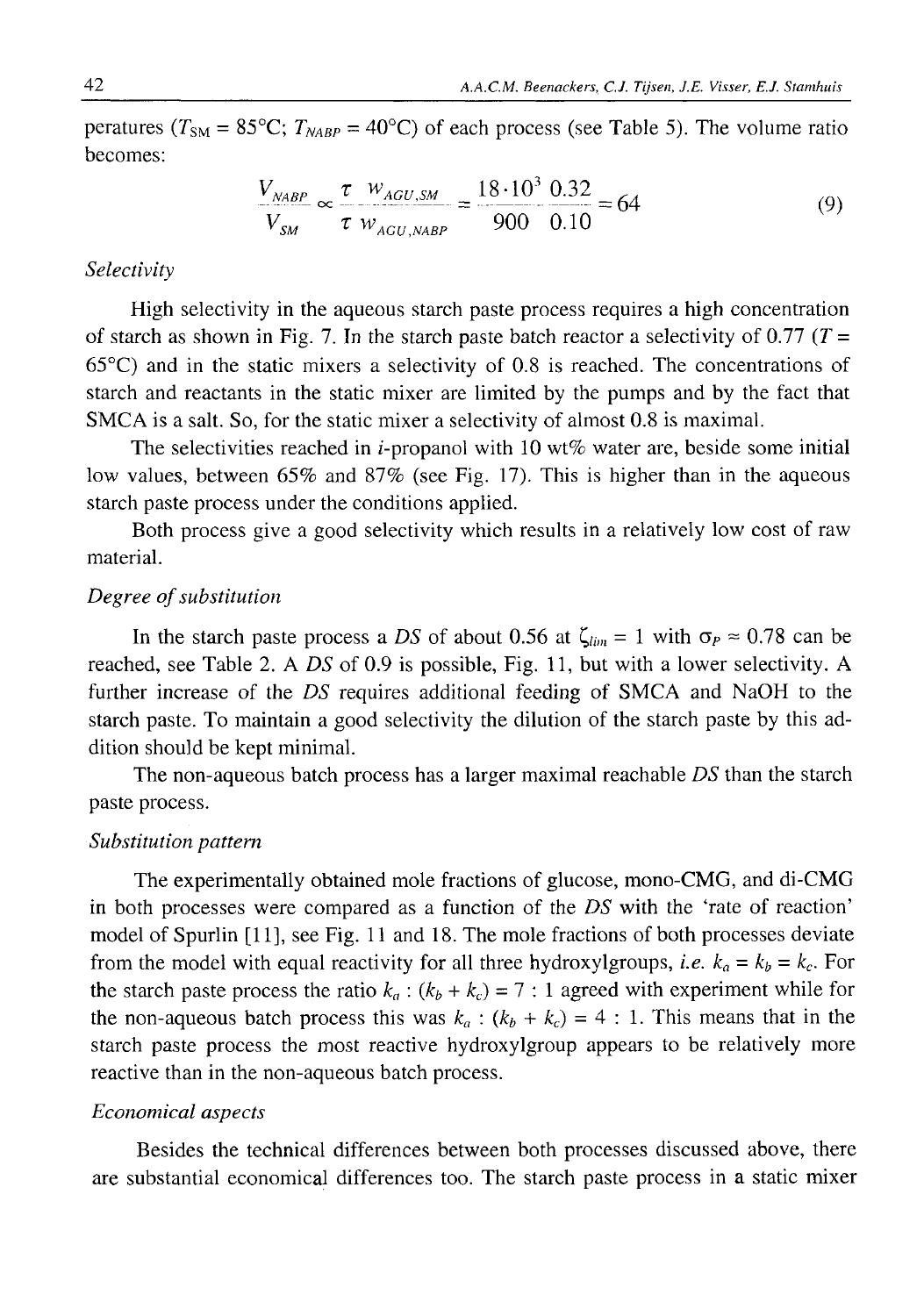peratures ( $T_{SM} = 85^{\circ}\text{C}$ ;  $T_{NABP} = 40^{\circ}\text{C}$ ) of each process (see Table 5). The volume ratio becomes:

$$
\frac{V_{NABP}}{V_{SM}} \propto \frac{\tau}{\tau} \frac{W_{AGU,SM}}{W_{AGU,NABP}} = \frac{18 \cdot 10^3}{900} \frac{0.32}{0.10} = 64
$$
 (9)

## *Selectivity*

High selectivity in the aqueous starch paste process requires a high concentration of starch as shown in Fig. 7. In the starch paste batch reactor a selectivity of 0.77 *(T =* 65°C) and in the static mixers a selectivity of 0.8 is reached. The concentrations of starch and reactants in the static mixer are limited by the pumps and by the fact that SMCA is a salt. So, for the static mixer a selectivity of almost 0.8 is maximal.

The selectivities reached in *i*-propanol with 10 wt% water are, beside some initial low values, between 65% and 87% (see Fig. 17). This is higher than in the aqueous starch paste process under the conditions applied.

Both process give a good selectivity which results in a relatively low cost of raw material.

## *Degree of substitution*

In the starch paste process a *DS* of about 0.56 at  $\zeta_{lim} = 1$  with  $\sigma_P \approx 0.78$  can be reached, see Table 2. A *DS* of 0.9 is possible, Fig. 11, but with a lower selectivity. A further increase of the *DS* requires additional feeding of SMCA and NaOH to the starch paste. To maintain a good selectivity the dilution of the starch paste by this addition should be kept minimal.

The non-aqueous batch process has a larger maximal reachable *DS* than the starch paste process.

### *Substitution pattern*

The experimentally obtained mole fractions of glucose, mono-CMG, and di-CMG in both processes were compared as a function of the *DS* with the 'rate of reaction' model of Spurlin [11], see Fig. 11 and 18. The mole fractions of both processes deviate from the model with equal reactivity for all three hydroxylgroups, *i.e.*  $k_a = k_b = k_c$ . For the starch paste process the ratio  $k_a$  :  $(k_b + k_c) = 7$  : 1 agreed with experiment while for the non-aqueous batch process this was  $k_a$  :  $(k_b + k_c) = 4$  : 1. This means that in the starch paste process the most reactive hydroxylgroup appears to be relatively more reactive than in the non-aqueous batch process.

## *Economical aspects*

Besides the technical differences between both processes discussed above, there are substantial economical differences too. The starch paste process in a static mixer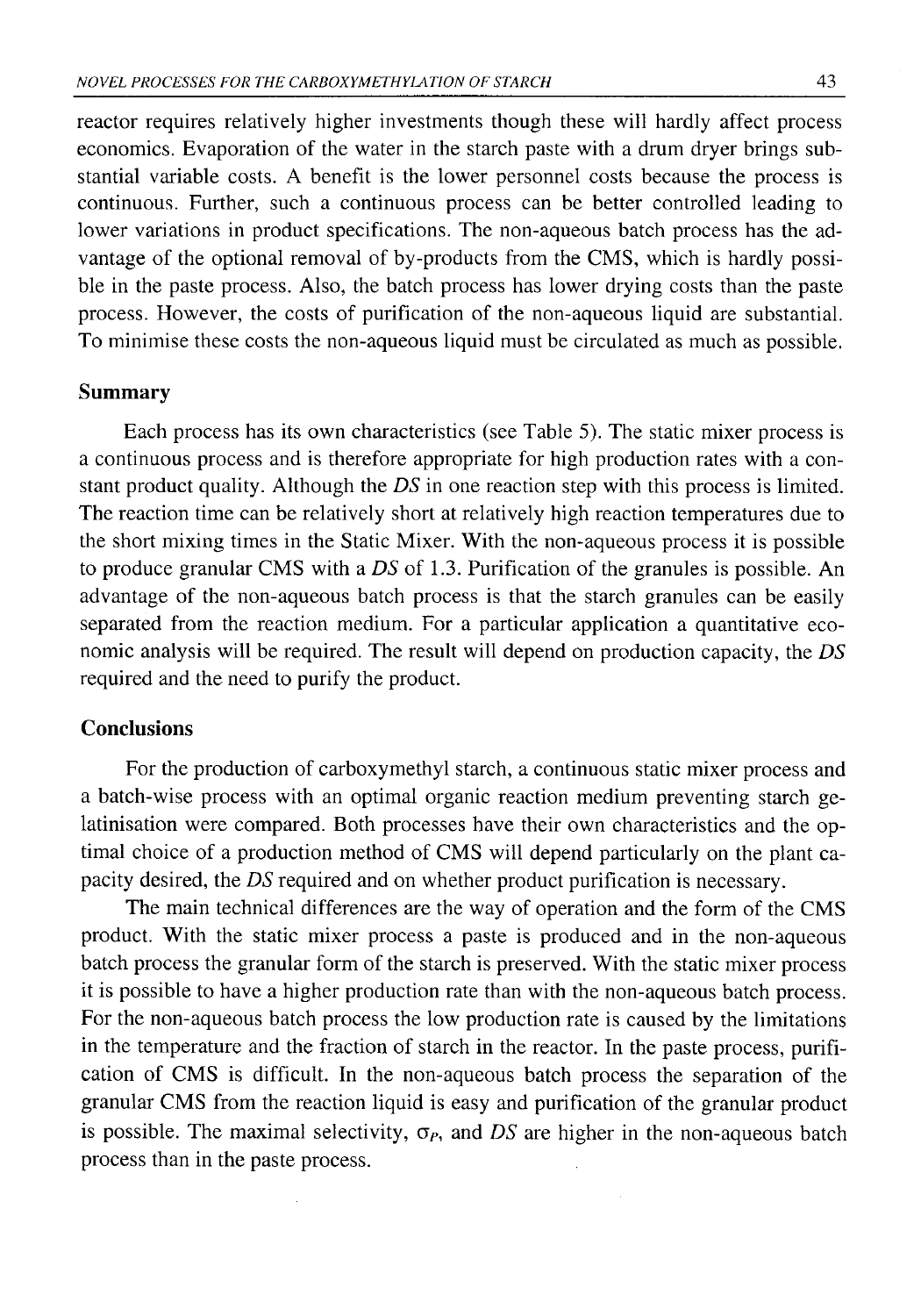reactor requires relatively higher investments though these will hardly affect process economics. Evaporation of the water in the starch paste with a drum dryer brings substantial variable costs. A benefit is the lower personnel costs because the process is continuous. Further, such a continuous process can be better controlled leading to lower variations in product specifications. The non-aqueous batch process has the advantage of the optional removal of by-products from the CMS, which is hardly possible in the paste process. Also, the batch process has lower drying costs than the paste process. However, the costs of purification of the non-aqueous liquid are substantial. To minimise these costs the non-aqueous liquid must be circulated as much as possible.

### **Summary**

Each process has its own characteristics (see Table 5). The static mixer process is a continuous process and is therefore appropriate for high production rates with a constant product quality. Although the *DS* in one reaction step with this process is limited. The reaction time can be relatively short at relatively high reaction temperatures due to the short mixing times in the Static Mixer. With the non-aqueous process it is possible to produce granular CMS with a *DS* of 1.3. Purification of the granules is possible. An advantage of the non-aqueous batch process is that the starch granules can be easily separated from the reaction medium. For a particular application a quantitative economic analysis will be required. The result will depend on production capacity, the *DS* required and the need to purify the product.

## **Conclusions**

For the production of carboxymethyl starch, a continuous static mixer process and a batch-wise process with an optimal organic reaction medium preventing starch gelatinisation were compared. Both processes have their own characteristics and the optimal choice of a production method of CMS will depend particularly on the plant capacity desired, the *DS* required and on whether product purification is necessary.

The main technical differences are the way of operation and the form of the CMS product. With the static mixer process a paste is produced and in the non-aqueous batch process the granular form of the starch is preserved. With the static mixer process it is possible to have a higher production rate than with the non-aqueous batch process. For the non-aqueous batch process the low production rate is caused by the limitations in the temperature and the fraction of starch in the reactor. In the paste process, purification of CMS is difficult. In the non-aqueous batch process the separation of the granular CMS from the reaction liquid is easy and purification of the granular product is possible. The maximal selectivity,  $\sigma_P$ , and *DS* are higher in the non-aqueous batch process than in the paste process.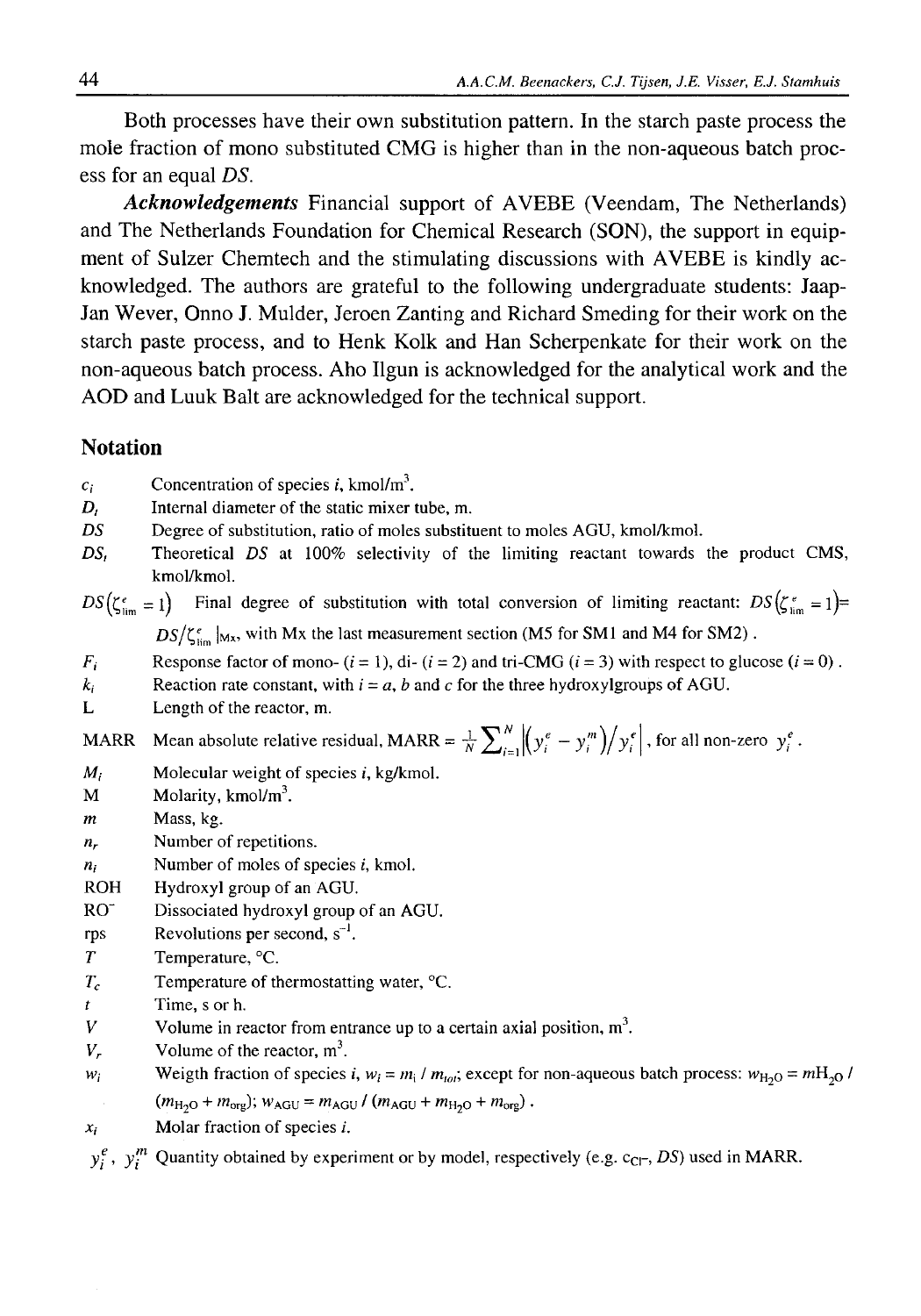Both processes have their own substitution pattern. In the starch paste process the mole fraction of mono substituted CMG is higher than in the non-aqueous batch process for an equal *DS.*

*Acknowledgements* Financial support of AVEBE (Veendam, The Netherlands) and The Netherlands Foundation for Chemical Research (SON), the support in equipment of Sulzer Chemtech and the stimulating discussions with AVEBE is kindly acknowledged. The authors are grateful to the following undergraduate students: Jaap-Jan Wever, Onno J. Mulder, Jeroen Zanting and Richard Smeding for their work on the starch paste process, and to Henk Kolk and Han Scherpenkate for their work on the non-aqueous batch process. Aho Ilgun is acknowledged for the analytical work and the AOD and Luuk Balt are acknowledged for the technical support.

## **Notation**

 $c_i$  Concentration of species *i*, kmol/m<sup>3</sup>.

- *D<sub>t</sub>* Internal diameter of the static mixer tube, m.
- *DS* Degree of substitution, ratio of moles substituent to moles AGU, kmol/kmol.
- *DS,* Theoretical *DS* at 100% selectivity of the limiting reactant towards the product CMS, kmol/kmol.

 $DS(\zeta_{\text{lim}}^e=1)$ Final degree of substitution with total conversion of limiting reactant:  $DS(\zeta_{\text{lim}}^e = 1)$ =  $DS/\zeta_{\text{lim}}^e$  |<sub>Mx</sub>, with Mx the last measurement section (M5 for SM1 and M4 for SM2).

- *F,* Response factor of mono-  $(i = 1)$ , di-  $(i = 2)$  and tri-CMG  $(i = 3)$  with respect to glucose  $(i = 0)$ .
- *k<sub>i</sub>* Reaction rate constant, with  $i = a$ , *b* and *c* for the three hydroxylgroups of AGU.
- L Length of the reactor, m.

MARR Mean absolute relative residual, MARR =  $\frac{1}{N}\sum_{i=1}^{N} \left| \left( y_i^e - y_i^m \right) / y_i^e \right|$ , for all non-zero  $y_i^e$ .

- $M_i$  Molecular weight of species *i*, kg/kmol.
- M Molarity, kmol/ $m<sup>3</sup>$ .
- *m* Mass, kg.
- *nr* Number of repetitions.
- *ni* Number of moles of species *i,* kmol.
- ROH Hydroxyl group of an AGU.
- RO<sup>T</sup> Dissociated hydroxyl group of an AGU.
- rps Revolutions per second,  $s^{-1}$ .
- *T* Temperature, °C.
- $T_c$  Temperature of thermostatting water,  ${}^{\circ}C$ .
- *t* Time, s or h.
- *V* Volume in reactor from entrance up to a certain axial position,  $m<sup>3</sup>$ .
- $V_r$  Volume of the reactor,  $m^3$ .
- *w<sub>i</sub>* Weigth fraction of species *i,*  $w_i = m_i / m_{tot}$ ; except for non-aqueous batch process:  $w_{H_2O} = m_{H_2O} / m_{tot}$  $(m_{\text{H}_2\text{O}} + m_{\text{org}}); w_{\text{AGU}} = m_{\text{AGU}} / (m_{\text{AGU}} + m_{\text{H}_2\text{O}} + m_{\text{org}})$ .
- *X i* Molar fraction of species *i.*

 $y_i^e$ ,  $y_i^m$  Quantity obtained by experiment or by model, respectively (e.g. c<sub>Cl</sub>-, *DS*) used in MARR.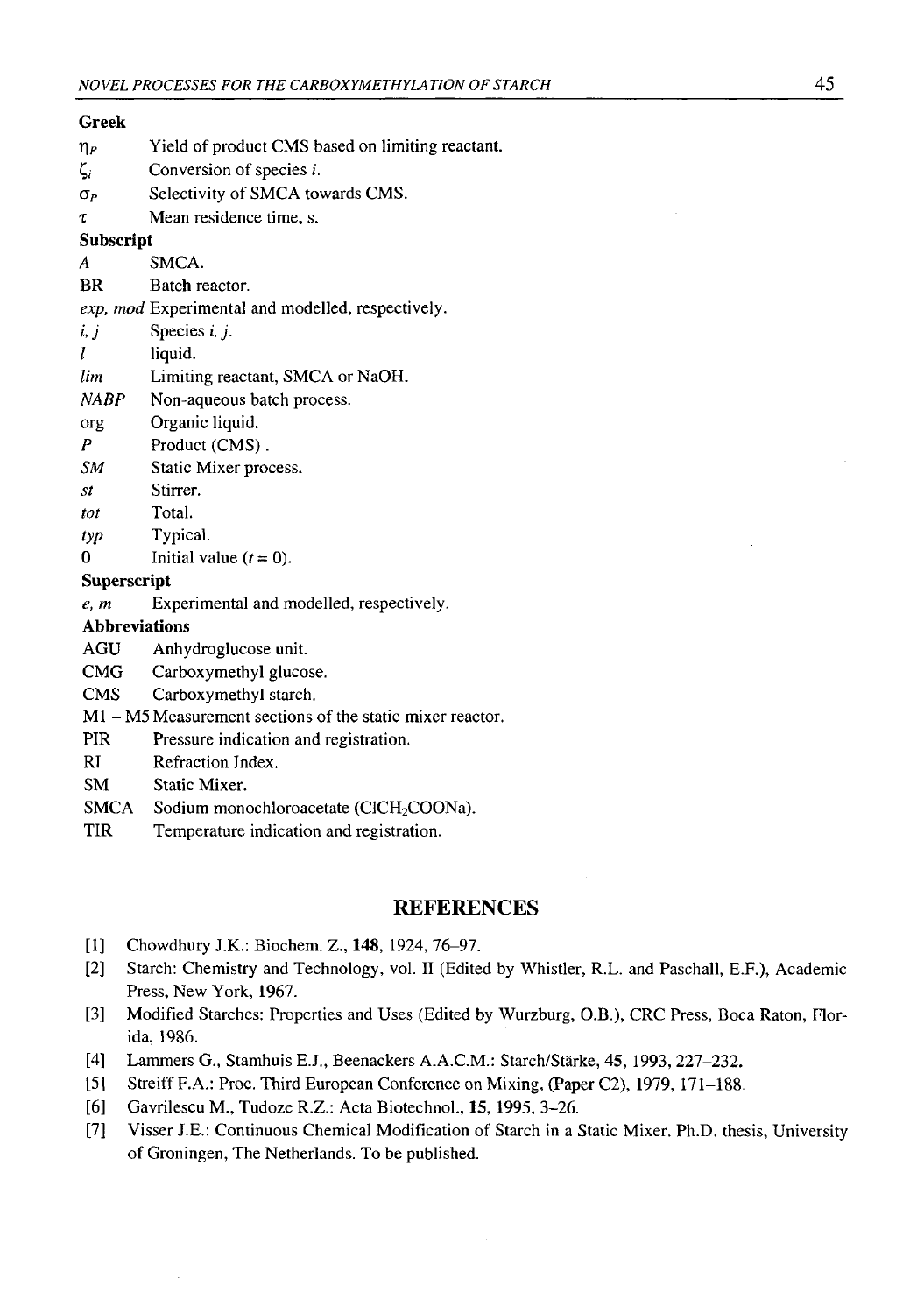### **Greek**

- $\eta_P$  Yield of product CMS based on limiting reactant.
- ζ/ Conversion of species *i.*
- *Op* Selectivity of SMCA towards CMS.
- *X* Mean residence time, s.

#### **Subscript**

- *A* SMCA.
- BR Batch reactor.

*exp, mod* Experimental and modelled, respectively.

- $i, j$  Species  $i, j$ .
- *I* liquid.
- *lim* Limiting reactant, SMCA or NaOH.
- *NABP* Non-aqueous batch process.
- org Organic liquid.
- *P* Product (CMS).
- *SM* Static Mixer process.
- *St* Stirrer.
- *tot* Total.
- *typ* Typical.
- 0 Initial value  $(t = 0)$ .

#### **Superscript**

*e, m* Experimental and modelled, respectively.

#### **Abbreviations**

- AGU Anhydroglucose unit.
- CMG Carboxymethyl glucose.
- CMS Carboxymethyl starch.
- M1 M5 Measurement sections of the static mixer reactor.
- PIR Pressure indication and registration.
- RI Refraction Index.
- SM Static Mixer.
- SMCA Sodium monochloroacetate (ClCH<sub>2</sub>COONa).
- TIR Temperature indication and registration.

### **REFERENCES**

- [1] Chowdhury J.K.: Biochem. Z., **148,** 1924, 76-97.
- [2] Starch: Chemistry and Technology, vol. II (Edited by Whistler, R.L. and Paschall, E.F.), Academic Press, New York, 1967.
- [3] Modified Starches: Properties and Uses (Edited by Wurzburg, O.B.), CRC Press, Boca Raton, Florida, 19B6.
- [4] Lammers G., Stamhuis E.J., Beenackers A.A.C.M.: Starch/Stärke, **45,** 1993, 227-232.
- [5] Streiff F.A.: Proc. Third European Conference on Mixing, (Paper C2), 1979, 171-188.
- [6] Gavrilescu M., Tudoze R.Z.: Acta Biotechnol., **15,** 1995, 3-26.
- [7] Visser J.E.: Continuous Chemical Modification of Starch in a Static Mixer. Ph.D. thesis, University of Groningen, The Netherlands. To be published.